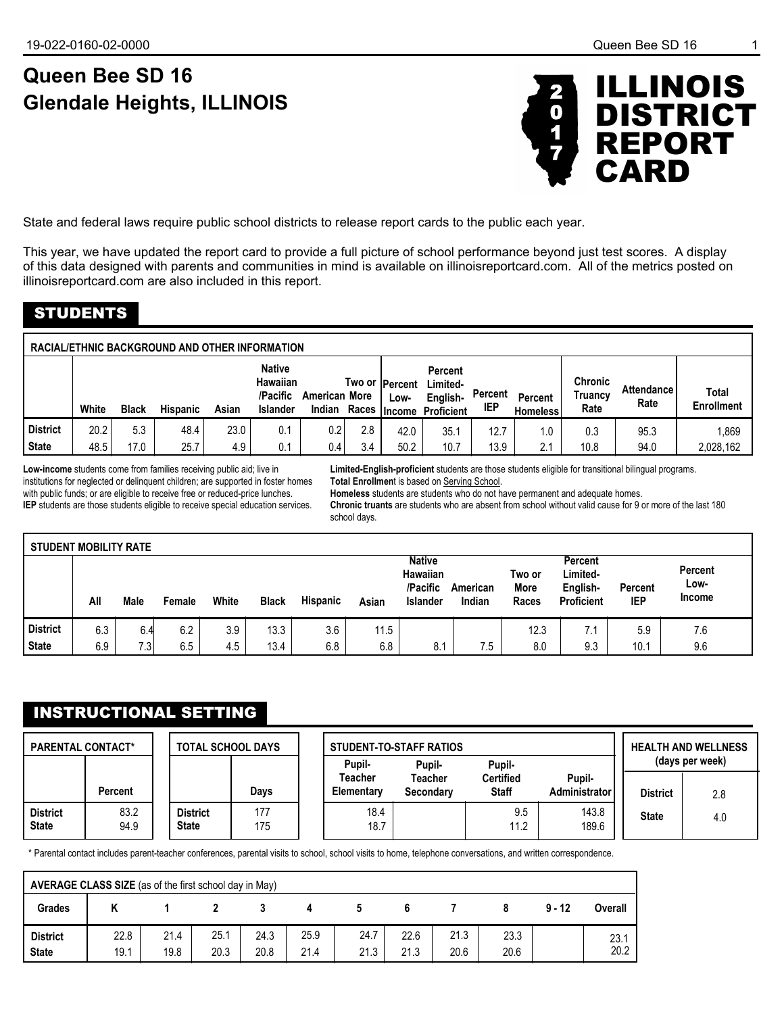# **Queen Bee SD 16 Glendale Heights, ILLINOIS**



State and federal laws require public school districts to release report cards to the public each year.

This year, we have updated the report card to provide a full picture of school performance beyond just test scores. A display of this data designed with parents and communities in mind is available on illinoisreportcard.com. All of the metrics posted on illinoisreportcard.com are also included in this report.

## STUDENTS

| RACIAL/ETHNIC BACKGROUND AND OTHER INFORMATION |              |              |                 |             |                                                          |                      |            |                         |                                                                            |                |                                   |                                   |                           |                                   |
|------------------------------------------------|--------------|--------------|-----------------|-------------|----------------------------------------------------------|----------------------|------------|-------------------------|----------------------------------------------------------------------------|----------------|-----------------------------------|-----------------------------------|---------------------------|-----------------------------------|
|                                                | White        | <b>Black</b> | <b>Hispanic</b> | Asian       | <b>Native</b><br>Hawaiian<br>/Pacific<br><b>Islander</b> | <b>American More</b> |            | Two or  Percent<br>Low- | <b>Percent</b><br>Limited-<br>English-<br>Indian Races   Income Proficient | Percent<br>IEP | <b>Percent</b><br><b>Homeless</b> | <b>Chronic</b><br>Truancv<br>Rate | <b>Attendance</b><br>Rate | <b>Total</b><br><b>Enrollment</b> |
| l District<br><b>State</b>                     | 20.2<br>48.5 | 5.3<br>17.0  | 48.4<br>25.7    | 23.0<br>4.9 | 0.1<br>0.1                                               | 0.2<br>0.4           | 2.8<br>3.4 | 42.0<br>50.2            | 35.1<br>10.7                                                               | 12.7<br>13.9   | 1.0<br>2.1                        | 0.3<br>10.8                       | 95.3<br>94.0              | 1,869<br>2,028,162                |

**Low-income** students come from families receiving public aid; live in institutions for neglected or delinquent children; are supported in foster homes with public funds; or are eligible to receive free or reduced-price lunches. **IEP** students are those students eligible to receive special education services.

**Limited-English-proficient** students are those students eligible for transitional bilingual programs. **Total Enrollmen**t is based on Serving School.

**Homeless** students are students who do not have permanent and adequate homes.

**Chronic truants** are students who are absent from school without valid cause for 9 or more of the last 180 school days.

| <b>STUDENT MOBILITY RATE</b> |     |      |        |       |              |          |       |                                                          |                    |                         |                                                      |                       |                           |
|------------------------------|-----|------|--------|-------|--------------|----------|-------|----------------------------------------------------------|--------------------|-------------------------|------------------------------------------------------|-----------------------|---------------------------|
|                              | All | Male | Female | White | <b>Black</b> | Hispanic | Asian | <b>Native</b><br>Hawaiian<br>/Pacific<br><b>Islander</b> | American<br>Indian | Two or<br>More<br>Races | Percent<br>Limited-<br>English-<br><b>Proficient</b> | Percent<br><b>IEP</b> | Percent<br>Low-<br>Income |
| <b>District</b>              | 6.3 | 6.4  | 6.2    | 3.9   | 13.3         | 3.6      | 11.5  |                                                          |                    | 12.3                    | 7.1                                                  | 5.9                   | 7.6                       |
| <b>State</b>                 | 6.9 | 7.3  | 6.5    | 4.5   | 13.4         | 6.8      | 6.8   | 8.1                                                      | 7.5                | 8.0                     | 9.3                                                  | 10.1                  | 9.6                       |

## INSTRUCTIONAL SETTING

| <b>PARENTAL CONTACT*</b>        |                | <b>TOTAL SCHOOL DAYS</b>        |            | Pupil-                | <b>STUDENT-TO-STAFF RATIOS</b><br>Pupil- |                                  | <b>HEALTH AND WELLNESS</b><br>(days per week) |                 |     |
|---------------------------------|----------------|---------------------------------|------------|-----------------------|------------------------------------------|----------------------------------|-----------------------------------------------|-----------------|-----|
|                                 | <b>Percent</b> |                                 | Davs       | Teacher<br>Elementary | Teacher<br>Secondary                     | <b>Certified</b><br><b>Staff</b> | Pupil-<br>Administrator                       | <b>District</b> | 2.8 |
| <b>District</b><br><b>State</b> | 83.2<br>94.9   | <b>District</b><br><b>State</b> | 177<br>175 | 18.4<br>18.7          |                                          | 9.5<br>11.2                      | 143.8<br>189.6                                | <b>State</b>    | 4.0 |

\* Parental contact includes parent-teacher conferences, parental visits to school, school visits to home, telephone conversations, and written correspondence.

| AVERAGE CLASS SIZE (as of the first school day in May) |              |              |              |              |              |              |              |              |              |          |              |
|--------------------------------------------------------|--------------|--------------|--------------|--------------|--------------|--------------|--------------|--------------|--------------|----------|--------------|
| <b>Grades</b>                                          |              |              |              |              |              |              |              |              |              | $9 - 12$ | Overall      |
| <b>District</b><br><b>State</b>                        | 22.8<br>19.1 | 21.4<br>19.8 | 25.1<br>20.3 | 24.3<br>20.8 | 25.9<br>21.4 | 24.7<br>21.3 | 22.6<br>21.3 | 21.3<br>20.6 | 23.3<br>20.6 |          | 23.1<br>20.2 |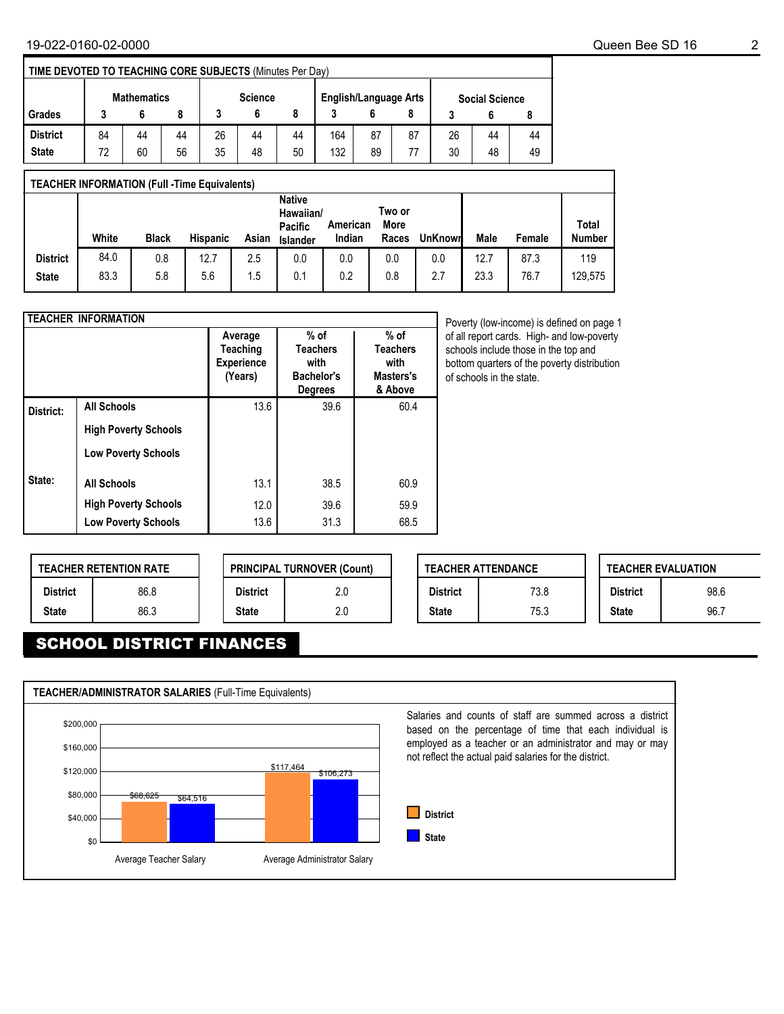| TIME DEVOTED TO TEACHING CORE SUBJECTS (Minutes Per Day) |                    |    |                |    |    |                              |     |    |                       |    |    |    |
|----------------------------------------------------------|--------------------|----|----------------|----|----|------------------------------|-----|----|-----------------------|----|----|----|
|                                                          | <b>Mathematics</b> |    | <b>Science</b> |    |    | <b>English/Language Arts</b> |     |    | <b>Social Science</b> |    |    |    |
| Grades                                                   |                    |    |                |    |    |                              |     |    |                       |    |    |    |
| <b>District</b>                                          | 84                 | 44 | 44             | 26 | 44 | 44                           | 164 | 87 | 87                    | 26 | 44 | 44 |
| <b>State</b>                                             | 72                 | 60 | 56             | 35 | 48 | 50                           | 132 | 89 | 77                    | 30 | 48 | 49 |

| <b>TEACHER INFORMATION (Full -Time Equivalents)</b> |       |              |                 |       |                                                          |                    |                         |                |      |        |                        |
|-----------------------------------------------------|-------|--------------|-----------------|-------|----------------------------------------------------------|--------------------|-------------------------|----------------|------|--------|------------------------|
|                                                     | White | <b>Black</b> | <b>Hispanic</b> | Asian | <b>Native</b><br>Hawaiian/<br>Pacific<br><b>Islander</b> | American<br>Indian | Two or<br>More<br>Races | <b>UnKnown</b> | Male | Female | Total<br><b>Number</b> |
| <b>District</b>                                     | 84.0  | 0.8          | 12.7            | 2.5   | 0.0                                                      | 0.0                | 0.0                     | 0.0            | 12.7 | 87.3   | 119                    |
| <b>State</b>                                        | 83.3  | 5.8          | 5.6             | 1.5   | 0.1                                                      | 0.2                | 0.8                     | 2.7            | 23.3 | 76.7   | 129.575                |

|           | <b>TEACHER INFORMATION</b>  |                                                     |                                                                   |                                                           |
|-----------|-----------------------------|-----------------------------------------------------|-------------------------------------------------------------------|-----------------------------------------------------------|
|           |                             | Average<br>Teaching<br><b>Experience</b><br>(Years) | $%$ of<br><b>Teachers</b><br>with<br>Bachelor's<br><b>Degrees</b> | $%$ of<br><b>Teachers</b><br>with<br>Masters's<br>& Above |
| District: | <b>All Schools</b>          | 13.6                                                | 39.6                                                              | 60.4                                                      |
|           | <b>High Poverty Schools</b> |                                                     |                                                                   |                                                           |
|           | <b>Low Poverty Schools</b>  |                                                     |                                                                   |                                                           |
| State:    | <b>All Schools</b>          | 13.1                                                | 38.5                                                              | 60.9                                                      |
|           | <b>High Poverty Schools</b> | 12.0                                                | 39.6                                                              | 59.9                                                      |
|           | <b>Low Poverty Schools</b>  | 13.6                                                | 31.3                                                              | 68.5                                                      |

Poverty (low-income) is defined on page 1 of all report cards. High- and low-poverty schools include those in the top and bottom quarters of the poverty distribution of schools in the state.

|                 | <b>TEACHER RETENTION RATE</b> |  |                 | <b>PRINCIPAL TURNOVER (Count)</b> |
|-----------------|-------------------------------|--|-----------------|-----------------------------------|
| <b>District</b> | 86.8                          |  | <b>District</b> | 2.0                               |
| <b>State</b>    | 86.3                          |  | <b>State</b>    | 2.0                               |

|                 | <b>TEACHER ATTENDANCE</b> |                 | <b>TEACHER EVALUATION</b> |
|-----------------|---------------------------|-----------------|---------------------------|
| <b>District</b> | 73.8                      | <b>District</b> | 98.6                      |
| <b>State</b>    | 75.3                      | <b>State</b>    | 96.7                      |

## SCHOOL DISTRICT FINANCES

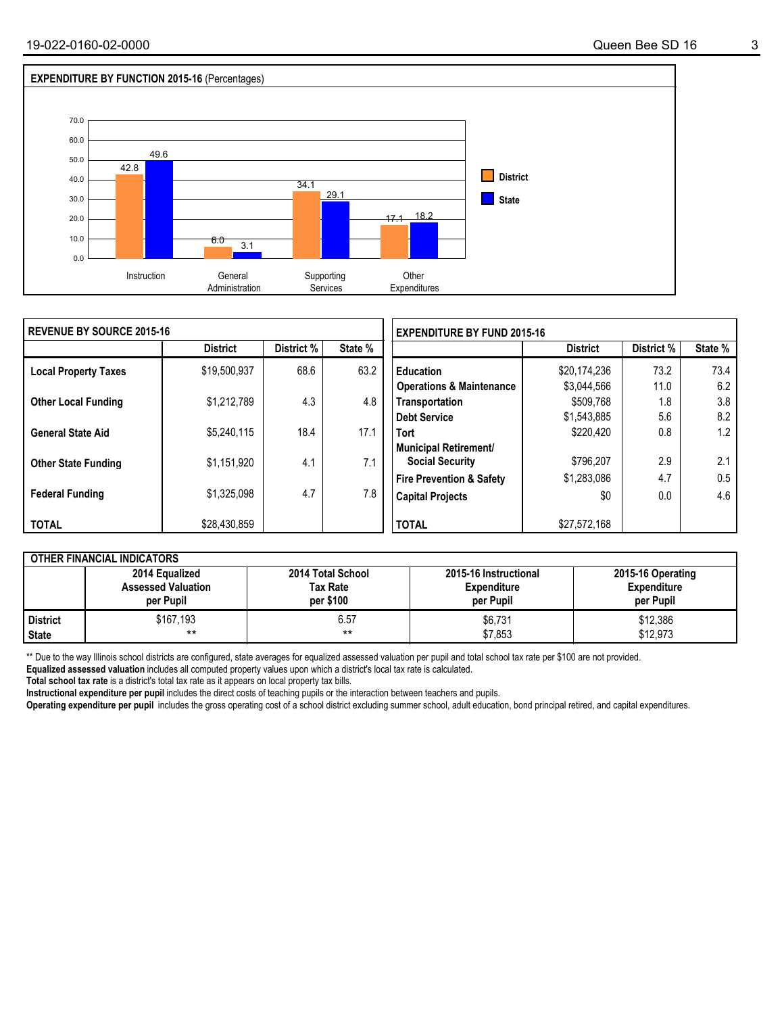

| <b>I REVENUE BY SOURCE 2015-16</b> |                 |            |         | <b>EXPENDITURE BY FUND 2015-16</b>  |                 |            |         |  |
|------------------------------------|-----------------|------------|---------|-------------------------------------|-----------------|------------|---------|--|
|                                    | <b>District</b> | District % | State % |                                     | <b>District</b> | District % | State % |  |
| <b>Local Property Taxes</b>        | \$19,500,937    | 68.6       | 63.2    | <b>Education</b>                    | \$20,174,236    | 73.2       | 73.4    |  |
|                                    |                 |            |         | <b>Operations &amp; Maintenance</b> | \$3.044.566     | 11.0       | 6.2     |  |
| <b>Other Local Funding</b>         | \$1,212,789     | 4.3        | 4.8     | Transportation                      | \$509,768       | 1.8        | 3.8     |  |
|                                    |                 |            |         | <b>Debt Service</b>                 | \$1,543,885     | 5.6        | 8.2     |  |
| <b>General State Aid</b>           | \$5.240.115     | 18.4       | 17.1    | <b>Tort</b>                         | \$220,420       | 0.8        | 1.2     |  |
|                                    |                 |            |         | Municipal Retirement/               |                 |            |         |  |
| <b>Other State Funding</b>         | \$1,151,920     | 4.1        | 7.1     | <b>Social Security</b>              | \$796.207       | 2.9        | 2.1     |  |
|                                    |                 |            |         | <b>Fire Prevention &amp; Safety</b> | \$1,283,086     | 4.7        | 0.5     |  |
| <b>Federal Funding</b>             | \$1,325,098     | 4.7        | 7.8     | <b>Capital Projects</b>             | \$0             | 0.0        | 4.6     |  |
|                                    |                 |            |         |                                     |                 |            |         |  |
| <b>TOTAL</b>                       | \$28,430,859    |            |         | <b>TOTAL</b>                        | \$27,572,168    |            |         |  |

|              | <b>OTHER FINANCIAL INDICATORS</b>                        |                                                   |                                                          |                                                      |  |  |  |  |  |  |  |
|--------------|----------------------------------------------------------|---------------------------------------------------|----------------------------------------------------------|------------------------------------------------------|--|--|--|--|--|--|--|
|              | 2014 Equalized<br><b>Assessed Valuation</b><br>per Pupil | 2014 Total School<br><b>Tax Rate</b><br>per \$100 | 2015-16 Instructional<br><b>Expenditure</b><br>per Pupil | 2015-16 Operating<br><b>Expenditure</b><br>per Pupil |  |  |  |  |  |  |  |
| District     | \$167,193                                                | 6.57                                              | \$6,731                                                  | \$12,386                                             |  |  |  |  |  |  |  |
| <b>State</b> | $***$                                                    | **                                                | \$7,853                                                  | \$12.973                                             |  |  |  |  |  |  |  |

\*\* Due to the way Illinois school districts are configured, state averages for equalized assessed valuation per pupil and total school tax rate per \$100 are not provided.

**Equalized assessed valuation** includes all computed property values upon which a district's local tax rate is calculated.

**Total school tax rate** is a district's total tax rate as it appears on local property tax bills.

**Instructional expenditure per pupil** includes the direct costs of teaching pupils or the interaction between teachers and pupils.

**Operating expenditure per pupil** includes the gross operating cost of a school district excluding summer school, adult education, bond principal retired, and capital expenditures.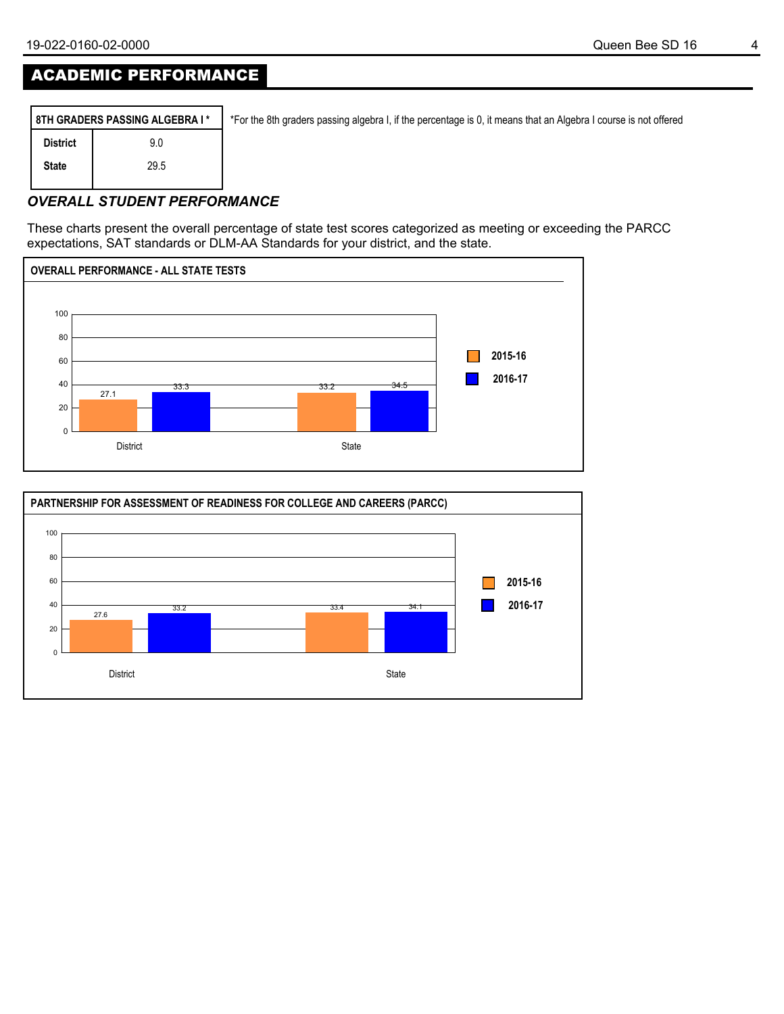## ACADEMIC PERFORMANCE

|                 | 8TH GRADERS PASSING ALGEBRA I* | *For the 8th graders passing algebra I, if the percentage is 0, it means that an Algebra I course is not offered |
|-----------------|--------------------------------|------------------------------------------------------------------------------------------------------------------|
| <b>District</b> | 9.0                            |                                                                                                                  |
| <b>State</b>    | 29.5                           |                                                                                                                  |
|                 |                                |                                                                                                                  |

### *OVERALL STUDENT PERFORMANCE*

These charts present the overall percentage of state test scores categorized as meeting or exceeding the PARCC expectations, SAT standards or DLM-AA Standards for your district, and the state.



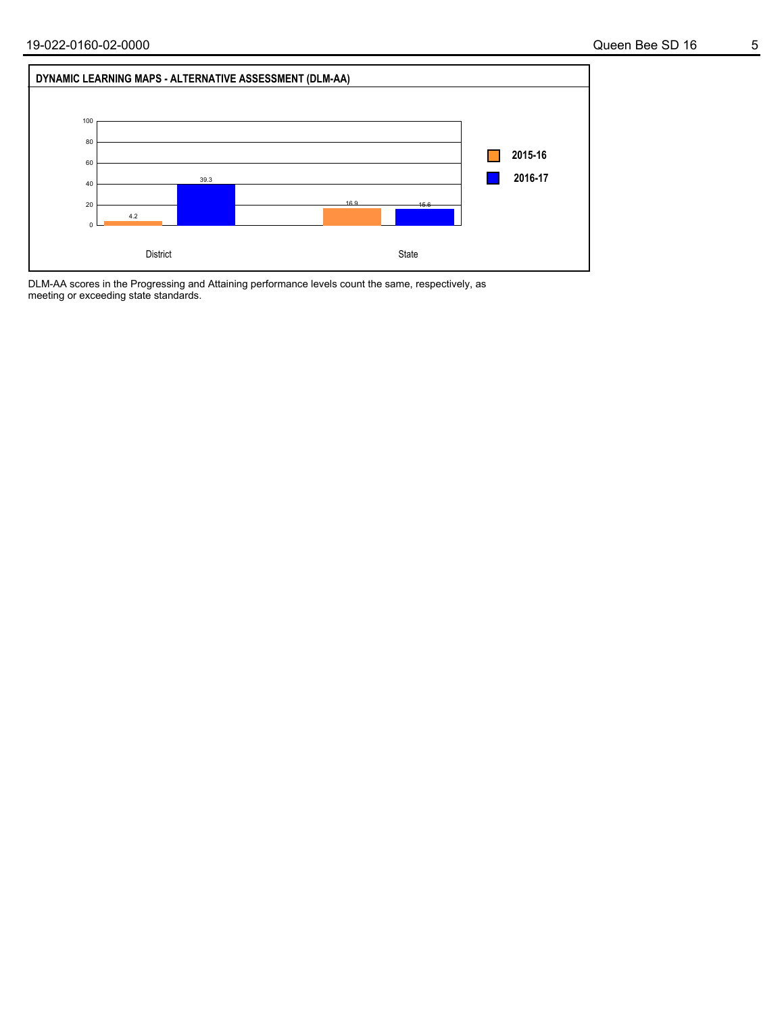

DLM-AA scores in the Progressing and Attaining performance levels count the same, respectively, as meeting or exceeding state standards.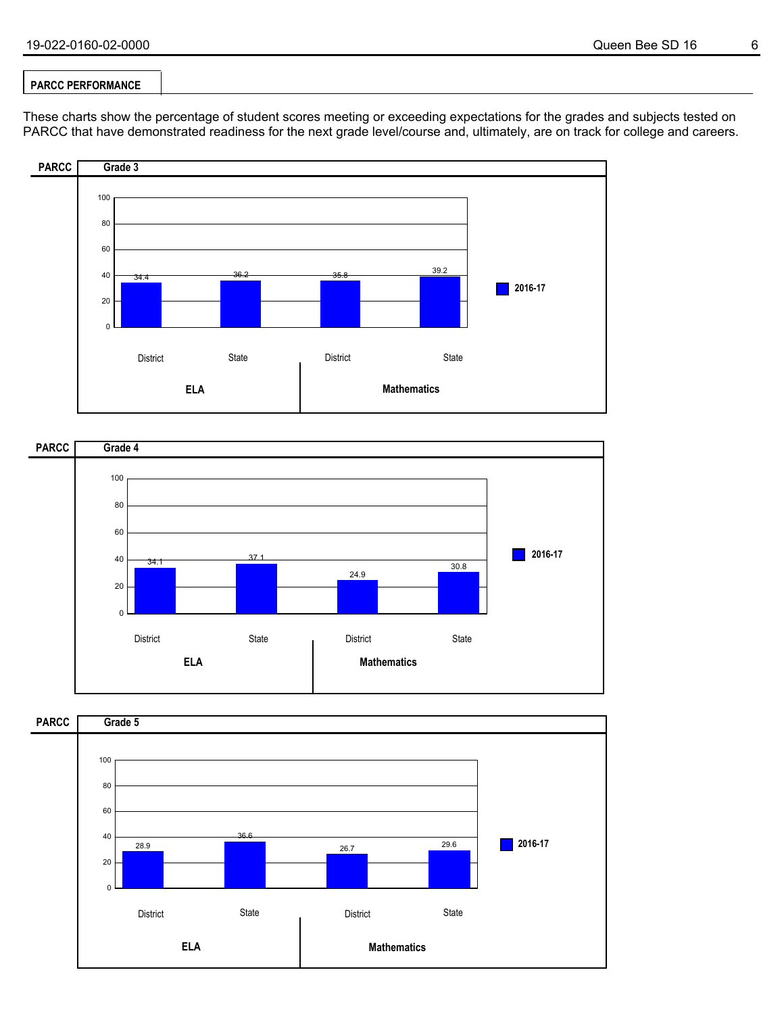#### **PARCC PERFORMANCE**

These charts show the percentage of student scores meeting or exceeding expectations for the grades and subjects tested on PARCC that have demonstrated readiness for the next grade level/course and, ultimately, are on track for college and careers.





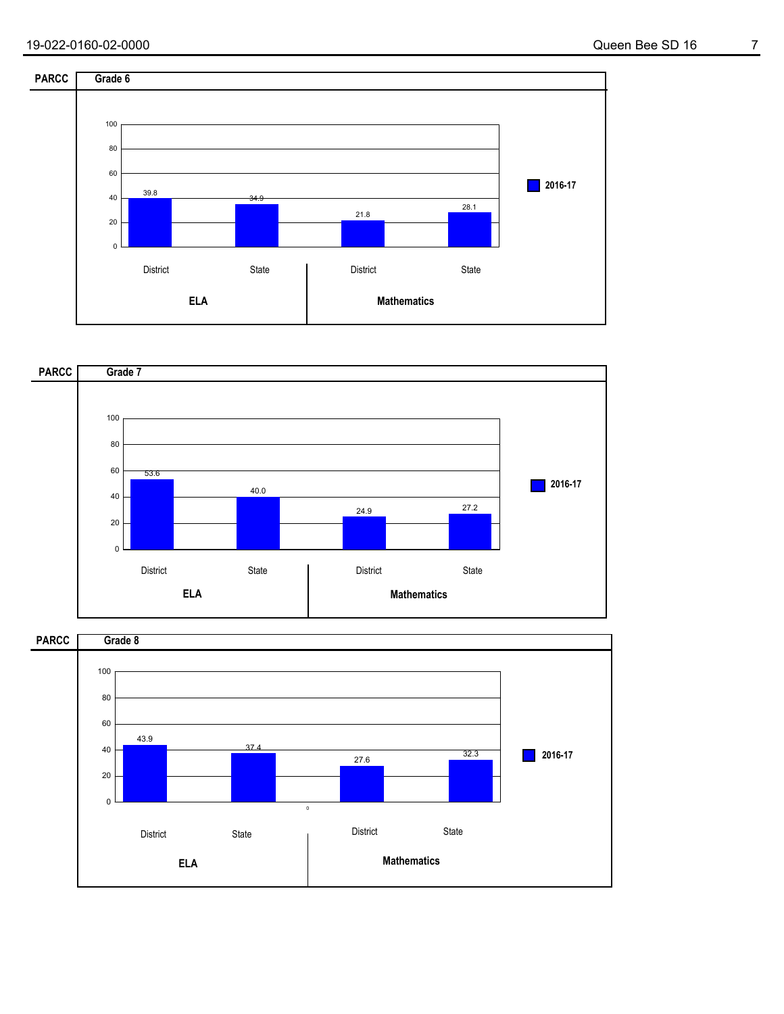



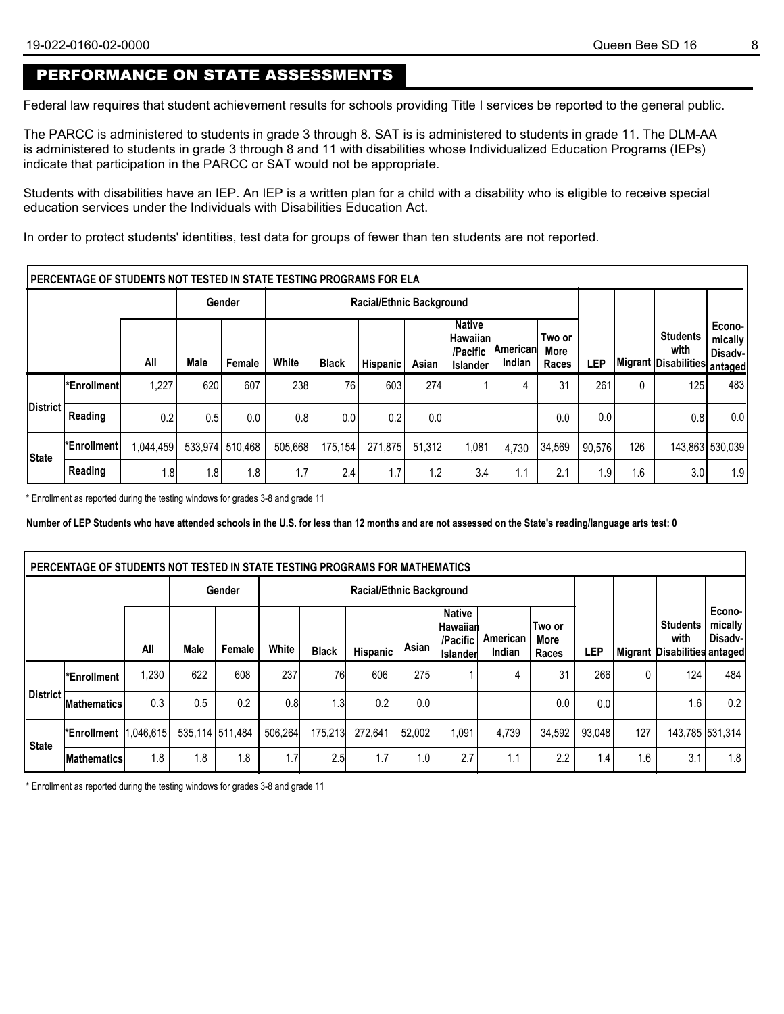## PERFORMANCE ON STATE ASSESSMENTS

Federal law requires that student achievement results for schools providing Title I services be reported to the general public.

The PARCC is administered to students in grade 3 through 8. SAT is is administered to students in grade 11. The DLM-AA is administered to students in grade 3 through 8 and 11 with disabilities whose Individualized Education Programs (IEPs) indicate that participation in the PARCC or SAT would not be appropriate.

Students with disabilities have an IEP. An IEP is a written plan for a child with a disability who is eligible to receive special education services under the Individuals with Disabilities Education Act.

In order to protect students' identities, test data for groups of fewer than ten students are not reported.

|                  | lPERCENTAGE OF STUDENTS NOT TESTED IN STATE TESTING PROGRAMS FOR ELA |           |         |         |         |              |                                 |        |                                                             |                             |                         |            |     |                                                          |                                |
|------------------|----------------------------------------------------------------------|-----------|---------|---------|---------|--------------|---------------------------------|--------|-------------------------------------------------------------|-----------------------------|-------------------------|------------|-----|----------------------------------------------------------|--------------------------------|
|                  |                                                                      |           |         | Gender  |         |              | <b>Racial/Ethnic Background</b> |        |                                                             |                             |                         |            |     |                                                          |                                |
|                  |                                                                      | All       | Male    | Female  | White   | <b>Black</b> | Hispanic                        | Asian  | <b>Native</b><br>∣ Hawaiian∣<br>/Pacific<br><b>Islander</b> | ∣American∣<br><b>Indian</b> | Two or<br>More<br>Races | <b>LEP</b> |     | <b>Students</b><br>with<br> Migrant Disabilities antaged | Econo-<br>mically<br>⊦Disadv-l |
|                  | l*Enrollmentl                                                        | 1,227     | 620     | 607     | 238     | 76           | 603                             | 274    |                                                             | 4                           | 31                      | 261        | 0   | 125                                                      | 483                            |
| <b>IDistrict</b> | Reading                                                              | 0.2       | 0.5     | 0.0     | 0.8     | 0.0          | 0.2                             | 0.0    |                                                             |                             | 0.0                     | 0.0        |     | 0.8                                                      | 0.0                            |
| <b>State</b>     | <b>Enrollment</b>                                                    | 1,044,459 | 533.974 | 510.468 | 505.668 | 175.154      | 271.875                         | 51.312 | 1,081                                                       | 4.730                       | 34,569                  | 90.576     | 126 |                                                          | 143,863 530,039                |
|                  | Reading                                                              | 1.8       | 1.8     | 1.8     | 1.7     | 2.4          | 1.7                             | 1.2    | 3.4                                                         | 1.1                         | 2.1                     | 1.9        | 1.6 | 3.0                                                      | 1.9                            |

\* Enrollment as reported during the testing windows for grades 3-8 and grade 11

**Number of LEP Students who have attended schools in the U.S. for less than 12 months and are not assessed on the State's reading/language arts test: 0**

|              | PERCENTAGE OF STUDENTS NOT TESTED IN STATE TESTING PROGRAMS FOR MATHEMATICS |       |                 |        |         |                                                                                                             |          |               |                           |                    |                         |                  |     |                                                         |                               |
|--------------|-----------------------------------------------------------------------------|-------|-----------------|--------|---------|-------------------------------------------------------------------------------------------------------------|----------|---------------|---------------------------|--------------------|-------------------------|------------------|-----|---------------------------------------------------------|-------------------------------|
|              |                                                                             |       |                 | Gender |         |                                                                                                             |          |               |                           |                    |                         |                  |     |                                                         |                               |
|              |                                                                             | All   | Male            | Female | White   | <b>Black</b>                                                                                                | Hispanic | Asian         | <b>Native</b><br>/Pacific | American<br>Indian | Two or<br>More<br>Races | LEP              |     | <b>Students</b><br>with<br>Migrant Disabilities antaged | Econo-<br>mically<br>Disadv-l |
|              | l*Enrollment                                                                | 1,230 | 622             | 608    | 237     |                                                                                                             | 606      | 275           |                           | 4                  | 31                      | 266              | 0   | 124                                                     | 484                           |
| l District   | <b>Mathematics</b>                                                          | 0.3   | 0.5             | 0.2    | 0.8     |                                                                                                             | 0.2      | 0.0           |                           |                    | $0.0\,$                 | 0.0 <sub>1</sub> |     | 1.6                                                     | 0.2                           |
| <b>State</b> | Enrollment 1,046,615                                                        |       | 535,114 511,484 |        | 506.264 |                                                                                                             | 272.641  | 52.002        | 1.091                     | 4,739              | 34,592                  | 93.048           | 127 |                                                         | 143,785 531,314               |
|              | <b>IMathematics</b>                                                         | 1.8   | 1.8             | 1.8    | 1.7     | Racial/Ethnic Background<br>Hawaiian<br>Islander<br>76<br>1.3<br>175,213<br>2.5<br>2.7<br>1.7<br>1.0<br>1.1 |          | $2.2^{\circ}$ | 1.4 <sub>1</sub>          | 1.6                | 3.1                     | 1.8              |     |                                                         |                               |

\* Enrollment as reported during the testing windows for grades 3-8 and grade 11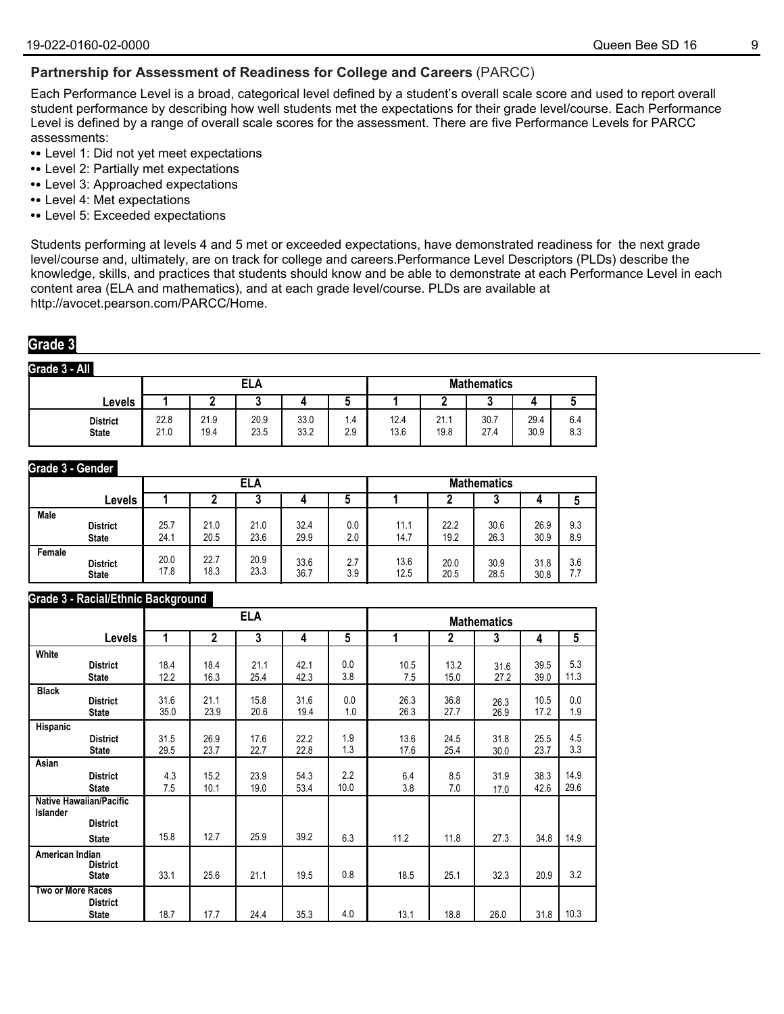#### **Partnership for Assessment of Readiness for College and Careers** (PARCC)

Each Performance Level is a broad, categorical level defined by a student's overall scale score and used to report overall student performance by describing how well students met the expectations for their grade level/course. Each Performance Level is defined by a range of overall scale scores for the assessment. There are five Performance Levels for PARCC assessments:

- **•** Level 1: Did not yet meet expectations
- **•** Level 2: Partially met expectations
- **•** Level 3: Approached expectations
- **•** Level 4: Met expectations
- **•** Level 5: Exceeded expectations

Students performing at levels 4 and 5 met or exceeded expectations, have demonstrated readiness for the next grade level/course and, ultimately, are on track for college and careers.Performance Level Descriptors (PLDs) describe the knowledge, skills, and practices that students should know and be able to demonstrate at each Performance Level in each content area (ELA and mathematics), and at each grade level/course. PLDs are available at http://avocet.pearson.com/PARCC/Home.

### **Grade 3**

**Grade 3 - All**

|                                 |              |              | ELA          |              |            |              |              | <b>Mathematics</b> |              |            |
|---------------------------------|--------------|--------------|--------------|--------------|------------|--------------|--------------|--------------------|--------------|------------|
| Levels                          |              | -            | ۰.           |              | ۰.         |              |              |                    |              |            |
| <b>District</b><br><b>State</b> | 22.8<br>21.0 | 21.9<br>19.4 | 20.9<br>23.5 | 33.0<br>33.2 | ۱.4<br>2.9 | 12.4<br>13.6 | 21.1<br>19.8 | 30.7<br>27.4       | 29.4<br>30.9 | 6.4<br>8.3 |

#### **Grade 3 - Gender**

|             |                 |      |      | <b>ELA</b> |      |     |      |      | <b>Mathematics</b> |      |     |
|-------------|-----------------|------|------|------------|------|-----|------|------|--------------------|------|-----|
|             | Levels          |      |      |            |      |     |      |      | n<br>u             |      |     |
| <b>Male</b> | <b>District</b> | 25.7 | 21.0 | 21.0       | 32.4 | 0.0 | 11.1 | 22.2 | 30.6               | 26.9 | 9.3 |
|             | <b>State</b>    | 24.1 | 20.5 | 23.6       | 29.9 | 2.0 | 14.7 | 19.2 | 26.3               | 30.9 | 8.9 |
| Female      | <b>District</b> | 20.0 | 22.7 | 20.9       | 33.6 | 2.7 | 13.6 | 20.0 | 30.9               | 31.8 | 3.6 |
|             | <b>State</b>    | 17.8 | 18.3 | 23.3       | 36.7 | 3.9 | 12.5 | 20.5 | 28.5               | 30.8 | 7.7 |

#### **Grade 3 - Racial/Ethnic Background**

|                                                                    |                                                   |              |                | <b>ELA</b>   |              |             |              |              | <b>Mathematics</b> |              |              |
|--------------------------------------------------------------------|---------------------------------------------------|--------------|----------------|--------------|--------------|-------------|--------------|--------------|--------------------|--------------|--------------|
|                                                                    | <b>Levels</b>                                     | 1            | $\overline{2}$ | 3            | 4            | 5           | 1            | 2            | 3                  | 4            | 5            |
| White                                                              |                                                   |              | 18.4           | 21.1         |              | 0.0         |              | 13.2         |                    |              | 5.3          |
|                                                                    | <b>District</b><br><b>State</b>                   | 18.4<br>12.2 | 16.3           | 25.4         | 42.1<br>42.3 | 3.8         | 10.5<br>7.5  | 15.0         | 31.6<br>27.2       | 39.5<br>39.0 | 11.3         |
| <b>Black</b>                                                       | <b>District</b><br><b>State</b>                   | 31.6<br>35.0 | 21.1<br>23.9   | 15.8<br>20.6 | 31.6<br>19.4 | 0.0<br>1.0  | 26.3<br>26.3 | 36.8<br>27.7 | 26.3<br>26.9       | 10.5<br>17.2 | 0.0<br>1.9   |
| Hispanic                                                           | <b>District</b><br><b>State</b>                   | 31.5<br>29.5 | 26.9<br>23.7   | 17.6<br>22.7 | 22.2<br>22.8 | 1.9<br>1.3  | 13.6<br>17.6 | 24.5<br>25.4 | 31.8<br>30.0       | 25.5<br>23.7 | 4.5<br>3.3   |
| Asian                                                              | <b>District</b><br><b>State</b>                   | 4.3<br>7.5   | 15.2<br>10.1   | 23.9<br>19.0 | 54.3<br>53.4 | 2.2<br>10.0 | 6.4<br>3.8   | 8.5<br>7.0   | 31.9<br>17.0       | 38.3<br>42.6 | 14.9<br>29.6 |
| <b>Islander</b>                                                    | <b>Native Hawaiian/Pacific</b><br><b>District</b> | 15.8         | 12.7           | 25.9         | 39.2         | 6.3         | 11.2         | 11.8         | 27.3               | 34.8         | 14.9         |
| <b>State</b><br>American Indian<br><b>District</b><br><b>State</b> |                                                   | 33.1         | 25.6           | 21.1         | 19.5         | 0.8         | 18.5         | 25.1         | 32.3               | 20.9         | 3.2          |
| Two or More Races                                                  | <b>District</b><br><b>State</b>                   | 18.7         | 17.7           | 24.4         | 35.3         | 4.0         | 13.1         | 18.8         | 26.0               | 31.8         | 10.3         |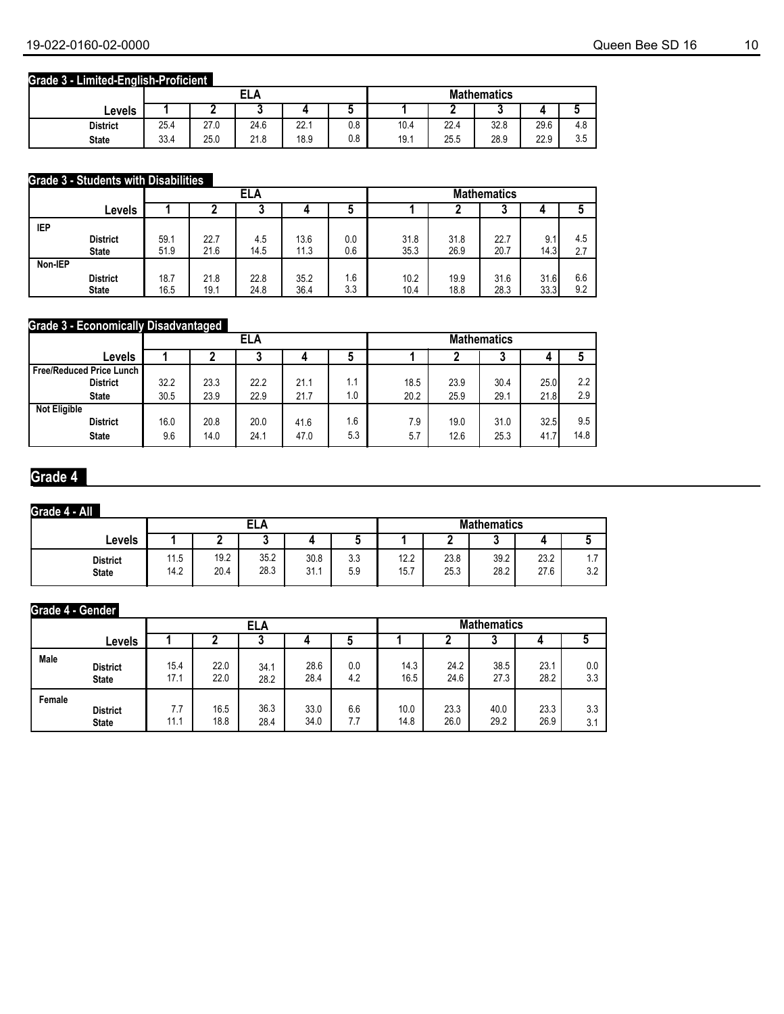### **Grade 3 - Limited-English-Proficient**

|                 |      |      | <b>ELA</b> |      |     |      |      | <b>Mathematics</b> |      |                      |
|-----------------|------|------|------------|------|-----|------|------|--------------------|------|----------------------|
| Levels          |      | -    |            |      | ີ   |      |      | u                  |      |                      |
| <b>District</b> | 25.4 | 27.0 | 24.6       | 22.1 | 0.8 | 10.4 | 22.4 | 32.8               | 29.6 | 4.c                  |
| <b>State</b>    | 33.4 | 25.0 | 21.8       | 18.9 | 0.8 | 19.1 | 25.5 | 28.9               | 22.9 | $\sim$ $\sim$<br>ບ.ບ |

#### **Grade 3 - Students with Disabilities**

|         |                 |      |      | <b>ELA</b> |      |     |      |      | <b>Mathematics</b> |      |     |
|---------|-----------------|------|------|------------|------|-----|------|------|--------------------|------|-----|
|         | Levels          |      |      | J          | 4    | C   |      |      | ◠<br>u             | 4    |     |
| IEP     |                 |      |      |            |      |     |      |      |                    |      |     |
|         | <b>District</b> | 59.1 | 22.7 | 4.5        | 13.6 | 0.0 | 31.8 | 31.8 | 22.7               | 9.1  | 4.5 |
|         | <b>State</b>    | 51.9 | 21.6 | 14.5       | 11.3 | 0.6 | 35.3 | 26.9 | 20.7               | 14.3 | 2.7 |
| Non-IEP |                 |      |      |            |      |     |      |      |                    |      |     |
|         | <b>District</b> | 18.7 | 21.8 | 22.8       | 35.2 | 1.6 | 10.2 | 19.9 | 31.6               | 31.6 | 6.6 |
|         | <b>State</b>    | 16.5 | 19.1 | 24.8       | 36.4 | 3.3 | 10.4 | 18.8 | 28.3               | 33.3 | 9.2 |

#### **Grade 3 - Economically Disadvantaged**

|                                   |      | - -  | ELA  |      |     |      |      | <b>Mathematics</b> |      |      |
|-----------------------------------|------|------|------|------|-----|------|------|--------------------|------|------|
| Levels                            |      |      | u    |      | J   |      |      | ω                  | 4    |      |
| <b>Free/Reduced Price Lunch  </b> |      |      |      |      |     |      |      |                    |      |      |
| <b>District</b>                   | 32.2 | 23.3 | 22.2 | 21.1 | 1.1 | 18.5 | 23.9 | 30.4               | 25.0 | 2.2  |
| <b>State</b>                      | 30.5 | 23.9 | 22.9 | 21.7 | 1.0 | 20.2 | 25.9 | 29.1               | 21.8 | 2.9  |
| <b>Not Eligible</b>               |      |      |      |      |     |      |      |                    |      |      |
| <b>District</b>                   | 16.0 | 20.8 | 20.0 | 41.6 | 1.6 | 7.9  | 19.0 | 31.0               | 32.5 | 9.5  |
| <b>State</b>                      | 9.6  | 14.0 | 24.1 | 47.0 | 5.3 | 5.7  | 12.6 | 25.3               | 41.7 | 14.8 |

## **Grade 4**

#### **Grade 4 - All**

|                                 |              |              | <b>ELA</b>   |              |            |              |              | <b>Mathematics</b> |              |                 |
|---------------------------------|--------------|--------------|--------------|--------------|------------|--------------|--------------|--------------------|--------------|-----------------|
| Levels                          |              |              | ູ            |              |            |              |              |                    |              |                 |
| <b>District</b><br><b>State</b> | 11.5<br>14.2 | 19.2<br>20.4 | 35.2<br>28.3 | 30.8<br>31.1 | 3.3<br>5.9 | 12.2<br>15.7 | 23.8<br>25.3 | 39.2<br>28.2       | 23.2<br>27.6 | $\Omega$<br>J.Z |

#### **Grade 4 - Gender**

|        |                 |      |      | ELA  |      |     |      |      | <b>Mathematics</b> |      |     |
|--------|-----------------|------|------|------|------|-----|------|------|--------------------|------|-----|
|        | Levels          |      |      |      |      |     |      |      | w                  |      |     |
| Male   | <b>District</b> | 15.4 | 22.0 | 34.1 | 28.6 | 0.0 | 14.3 | 24.2 | 38.5               | 23.1 | 0.0 |
|        | <b>State</b>    | 17.1 | 22.0 | 28.2 | 28.4 | 4.2 | 16.5 | 24.6 | 27.3               | 28.2 | 3.3 |
| Female | <b>District</b> | 7.7  | 16.5 | 36.3 | 33.0 | 6.6 | 10.0 | 23.3 | 40.0               | 23.3 | 3.3 |
|        | <b>State</b>    | 11.1 | 18.8 | 28.4 | 34.0 | 7.7 | 14.8 | 26.0 | 29.2               | 26.9 | 3.1 |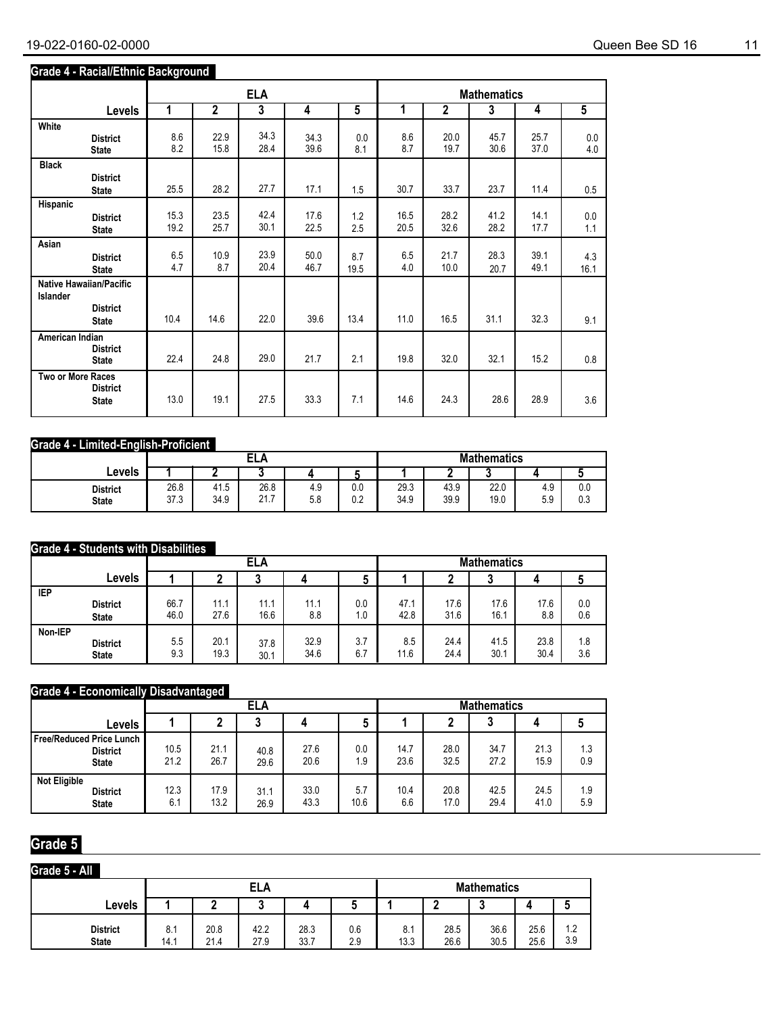### **Grade 4 - Racial/Ethnic Background**

|                          |                                                                   |              |                | <b>ELA</b>   |              |             |              |                | <b>Mathematics</b> |              |                |
|--------------------------|-------------------------------------------------------------------|--------------|----------------|--------------|--------------|-------------|--------------|----------------|--------------------|--------------|----------------|
|                          | Levels                                                            | 1            | $\overline{2}$ | 3            | 4            | 5           | 1            | $\overline{2}$ | 3                  | 4            | $\overline{5}$ |
| White                    | <b>District</b><br><b>State</b>                                   | 8.6<br>8.2   | 22.9<br>15.8   | 34.3<br>28.4 | 34.3<br>39.6 | 0.0<br>8.1  | 8.6<br>8.7   | 20.0<br>19.7   | 45.7<br>30.6       | 25.7<br>37.0 | 0.0<br>4.0     |
| <b>Black</b>             | <b>District</b><br><b>State</b>                                   | 25.5         | 28.2           | 27.7         | 17.1         | 1.5         | 30.7         | 33.7           | 23.7               | 11.4         | 0.5            |
| Hispanic                 | <b>District</b><br><b>State</b>                                   | 15.3<br>19.2 | 23.5<br>25.7   | 42.4<br>30.1 | 17.6<br>22.5 | 1.2<br>2.5  | 16.5<br>20.5 | 28.2<br>32.6   | 41.2<br>28.2       | 14.1<br>17.7 | 0.0<br>1.1     |
| Asian                    | <b>District</b><br><b>State</b>                                   | 6.5<br>4.7   | 10.9<br>8.7    | 23.9<br>20.4 | 50.0<br>46.7 | 8.7<br>19.5 | 6.5<br>4.0   | 21.7<br>10.0   | 28.3<br>20.7       | 39.1<br>49.1 | 4.3<br>16.1    |
| Islander                 | <b>Native Hawaiian/Pacific</b><br><b>District</b><br><b>State</b> | 10.4         | 14.6           | 22.0         | 39.6         | 13.4        | 11.0         | 16.5           | 31.1               | 32.3         | 9.1            |
| American Indian          | <b>District</b><br><b>State</b>                                   | 22.4         | 24.8           | 29.0         | 21.7         | 2.1         | 19.8         | 32.0           | 32.1               | 15.2         | 0.8            |
| <b>Two or More Races</b> | <b>District</b><br><b>State</b>                                   | 13.0         | 19.1           | 27.5         | 33.3         | 7.1         | 14.6         | 24.3           | 28.6               | 28.9         | 3.6            |

#### **Grade 4 - Limited-English-Proficient**

|                                 |              |              | ELA                   |            |            |              |              | <b>Mathematics</b> |            |            |
|---------------------------------|--------------|--------------|-----------------------|------------|------------|--------------|--------------|--------------------|------------|------------|
| Levels                          |              |              |                       |            |            |              |              |                    | 4          |            |
| <b>District</b><br><b>State</b> | 26.8<br>37.3 | 41.5<br>34.9 | 26.8<br>24.7<br>4 I.I | 4.9<br>5.8 | 0.0<br>0.2 | 29.3<br>34.9 | 43.9<br>39.9 | 22.0<br>19.0       | 4.9<br>5.9 | 0.0<br>0.3 |

#### **Grade 4 - Students with Disabilities**

|            |                 |      |      | ELA  |      |     | <b>Mathematics</b> |      |      |      |     |
|------------|-----------------|------|------|------|------|-----|--------------------|------|------|------|-----|
|            | Levels          |      |      |      |      |     |                    |      |      | д    |     |
| <b>IEP</b> | <b>District</b> | 66.7 | 11.1 | 11.1 | 11.1 | 0.0 | 47.1               | 17.6 | 17.6 | 17.6 | 0.0 |
|            | <b>State</b>    | 46.0 | 27.6 | 16.6 | 8.8  | 1.0 | 42.8               | 31.6 | 16.1 | 8.8  | 0.6 |
| Non-IEP    | <b>District</b> | 5.5  | 20.1 | 37.8 | 32.9 | 3.7 | 8.5                | 24.4 | 41.5 | 23.8 | 1.8 |
|            | <b>State</b>    | 9.3  | 19.3 | 30.1 | 34.6 | 6.7 | 11.6               | 24.4 | 30.1 | 30.4 | 3.6 |

### **Grade 4 - Economically Disadvantaged**

|                                                             |              |              | ELA          |              |             | <b>Mathematics</b> |              |              |              |            |  |
|-------------------------------------------------------------|--------------|--------------|--------------|--------------|-------------|--------------------|--------------|--------------|--------------|------------|--|
| Levels                                                      |              |              | u            |              |             |                    |              | u            |              |            |  |
| Free/Reduced Price Lunch<br><b>District</b><br><b>State</b> | 10.5<br>21.2 | 21.1<br>26.7 | 40.8<br>29.6 | 27.6<br>20.6 | 0.0<br>1.9  | 14.7<br>23.6       | 28.0<br>32.5 | 34.7<br>27.2 | 21.3<br>15.9 | 1.3<br>0.9 |  |
| <b>Not Eligible</b><br><b>District</b><br><b>State</b>      | 12.3<br>6.1  | 17.9<br>13.2 | 31.1<br>26.9 | 33.0<br>43.3 | 5.7<br>10.6 | 10.4<br>6.6        | 20.8<br>17.0 | 42.5<br>29.4 | 24.5<br>41.0 | 1.9<br>5.9 |  |

### **Grade 5**

| Grade 5 - All                   |             |              |                    |              |            |             |              |              |              |            |
|---------------------------------|-------------|--------------|--------------------|--------------|------------|-------------|--------------|--------------|--------------|------------|
|                                 |             |              | <b>Mathematics</b> |              |            |             |              |              |              |            |
| Levels                          |             |              | u                  |              |            |             |              | u            |              |            |
| <b>District</b><br><b>State</b> | 8.1<br>14.1 | 20.8<br>21.4 | 42.2<br>27.9       | 28.3<br>33.7 | 0.6<br>2.9 | 8.1<br>13.3 | 28.5<br>26.6 | 36.6<br>30.5 | 25.6<br>25.6 | 1.2<br>3.9 |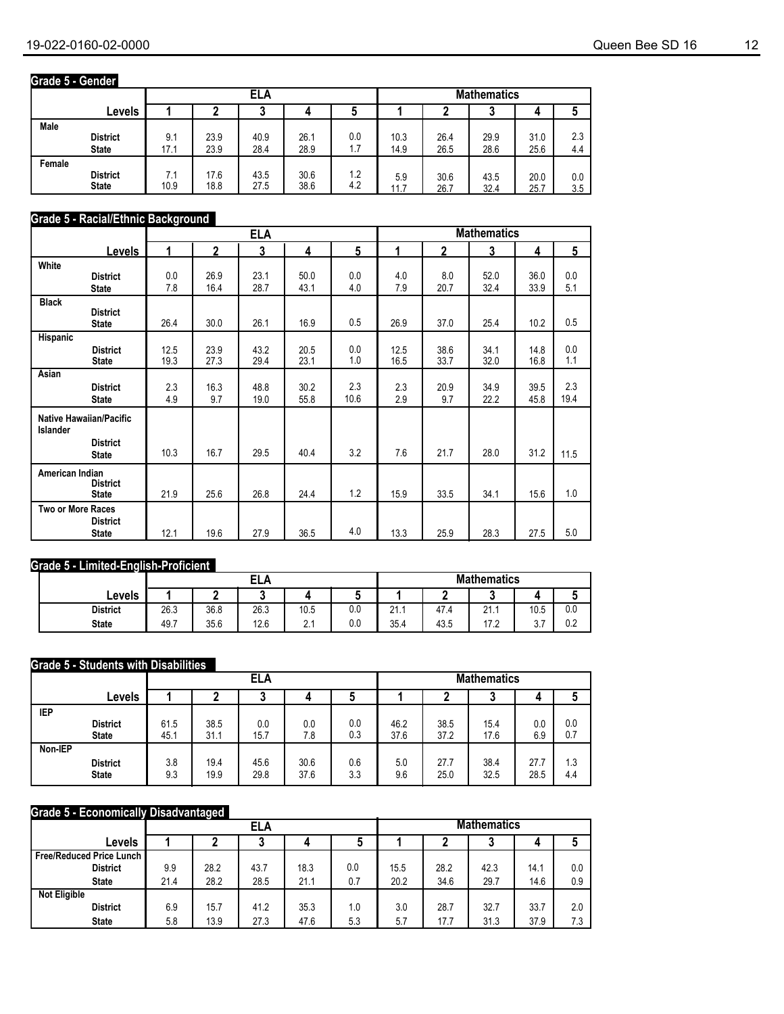### **Grade 5 - Gender**

|        |                 |      |      | <b>Mathematics</b> |      |     |      |      |      |      |     |
|--------|-----------------|------|------|--------------------|------|-----|------|------|------|------|-----|
|        | Levels          |      |      |                    |      |     |      |      |      |      |     |
| Male   | <b>District</b> | 9.1  | 23.9 | 40.9               | 26.1 | 0.0 | 10.3 | 26.4 | 29.9 | 31.0 | 2.3 |
|        | <b>State</b>    | 17.1 | 23.9 | 28.4               | 28.9 | 1.7 | 14.9 | 26.5 | 28.6 | 25.6 | 4.4 |
| Female | <b>District</b> | 7.1  | 17.6 | 43.5               | 30.6 | 1.2 | 5.9  | 30.6 | 43.5 | 20.0 | 0.0 |
|        | <b>State</b>    | 10.9 | 18.8 | 27.5               | 38.6 | 4.2 | 11.7 | 26.7 | 32.4 | 25.7 | 3.5 |

#### **Grade 5 - Racial/Ethnic Background**

|                          |                                 |              |              | <b>ELA</b>   |              |             |              |              | <b>Mathematics</b> |              |             |
|--------------------------|---------------------------------|--------------|--------------|--------------|--------------|-------------|--------------|--------------|--------------------|--------------|-------------|
|                          | <b>Levels</b>                   | 4            | $\mathbf{2}$ | 3            | 4            | 5           | 1            | $\mathbf{2}$ | 3                  | 4            | 5           |
| White                    | <b>District</b><br><b>State</b> | 0.0<br>7.8   | 26.9<br>16.4 | 23.1<br>28.7 | 50.0<br>43.1 | 0.0<br>4.0  | 4.0<br>7.9   | 8.0<br>20.7  | 52.0<br>32.4       | 36.0<br>33.9 | 0.0<br>5.1  |
| <b>Black</b>             | <b>District</b><br><b>State</b> | 26.4         | 30.0         | 26.1         | 16.9         | 0.5         | 26.9         | 37.0         | 25.4               | 10.2         | 0.5         |
| Hispanic                 | <b>District</b><br><b>State</b> | 12.5<br>19.3 | 23.9<br>27.3 | 43.2<br>29.4 | 20.5<br>23.1 | 0.0<br>1.0  | 12.5<br>16.5 | 38.6<br>33.7 | 34.1<br>32.0       | 14.8<br>16.8 | 0.0<br>1.1  |
| Asian                    | <b>District</b><br><b>State</b> | 2.3<br>4.9   | 16.3<br>9.7  | 48.8<br>19.0 | 30.2<br>55.8 | 2.3<br>10.6 | 2.3<br>2.9   | 20.9<br>9.7  | 34.9<br>22.2       | 39.5<br>45.8 | 2.3<br>19.4 |
| <b>Islander</b>          | <b>Native Hawaiian/Pacific</b>  |              |              |              |              |             |              |              |                    |              |             |
|                          | <b>District</b><br><b>State</b> | 10.3         | 16.7         | 29.5         | 40.4         | 3.2         | 7.6          | 21.7         | 28.0               | 31.2         | 11.5        |
| American Indian          | <b>District</b><br><b>State</b> | 21.9         | 25.6         | 26.8         | 24.4         | 1.2         | 15.9         | 33.5         | 34.1               | 15.6         | 1.0         |
| <b>Two or More Races</b> | <b>District</b><br><b>State</b> | 12.1         | 19.6         | 27.9         | 36.5         | 4.0         | 13.3         | 25.9         | 28.3               | 27.5         | 5.0         |

### **Grade 5 - Limited-English-Proficient**

|                 |      |      | בו ג<br>--- |      |     | <b>Mathematics</b>      |      |           |          |     |  |
|-----------------|------|------|-------------|------|-----|-------------------------|------|-----------|----------|-----|--|
| Levels          |      | -    |             |      |     |                         |      |           |          | л.  |  |
| <b>District</b> | 26.3 | 36.8 | 26.3        | 10.5 | 0.0 | $\mathbf{a}$<br>4 I . I | 47.4 | 21.1      | 10.5     | 0.0 |  |
| <b>State</b>    | 49.7 | 35.6 | 12.6        | ົ    | 0.0 | 35.4                    | 43.5 | 17 つ<br>. | -<br>v.i | 0.2 |  |

#### **Grade 5 - Students with Disabilities**

|            |                 |      |      | ELA  |      |     | <b>Mathematics</b> |      |      |      |     |
|------------|-----------------|------|------|------|------|-----|--------------------|------|------|------|-----|
|            | Levels          |      |      |      |      |     | u                  | 4    |      |      |     |
| <b>IEP</b> | <b>District</b> | 61.5 | 38.5 | 0.0  | 0.0  | 0.0 | 46.2               | 38.5 | 15.4 | 0.0  | 0.0 |
|            | <b>State</b>    | 45.1 | 31.1 | 15.7 | 7.8  | 0.3 | 37.6               | 37.2 | 17.6 | 6.9  | 0.7 |
| Non-IEP    | <b>District</b> | 3.8  | 19.4 | 45.6 | 30.6 | 0.6 | 5.0                | 27.7 | 38.4 | 27.7 | 1.3 |
|            | <b>State</b>    | 9.3  | 19.9 | 29.8 | 37.6 | 3.3 | 9.6                | 25.0 | 32.5 | 28.5 | 4.4 |

#### **Grade 5 - Economically Disadvantaged**

|                                   |      |      | ELA  |      |     | <b>Mathematics</b> |      |      |      |     |
|-----------------------------------|------|------|------|------|-----|--------------------|------|------|------|-----|
| Levels                            |      |      |      |      | J   |                    |      | u    | 4    |     |
| <b>Free/Reduced Price Lunch  </b> |      |      |      |      |     |                    |      |      |      |     |
| <b>District</b>                   | 9.9  | 28.2 | 43.7 | 18.3 | 0.0 | 15.5               | 28.2 | 42.3 | 14.1 | 0.0 |
| <b>State</b>                      | 21.4 | 28.2 | 28.5 | 21.1 | 0.7 | 20.2               | 34.6 | 29.7 | 14.6 | 0.9 |
| <b>Not Eligible</b>               |      |      |      |      |     |                    |      |      |      |     |
| <b>District</b>                   | 6.9  | 15.7 | 41.2 | 35.3 | 1.0 | 3.0                | 28.7 | 32.7 | 33.7 | 2.0 |
| <b>State</b>                      | 5.8  | 13.9 | 27.3 | 47.6 | 5.3 | 5.7                | 17.7 | 31.3 | 37.9 | 7.3 |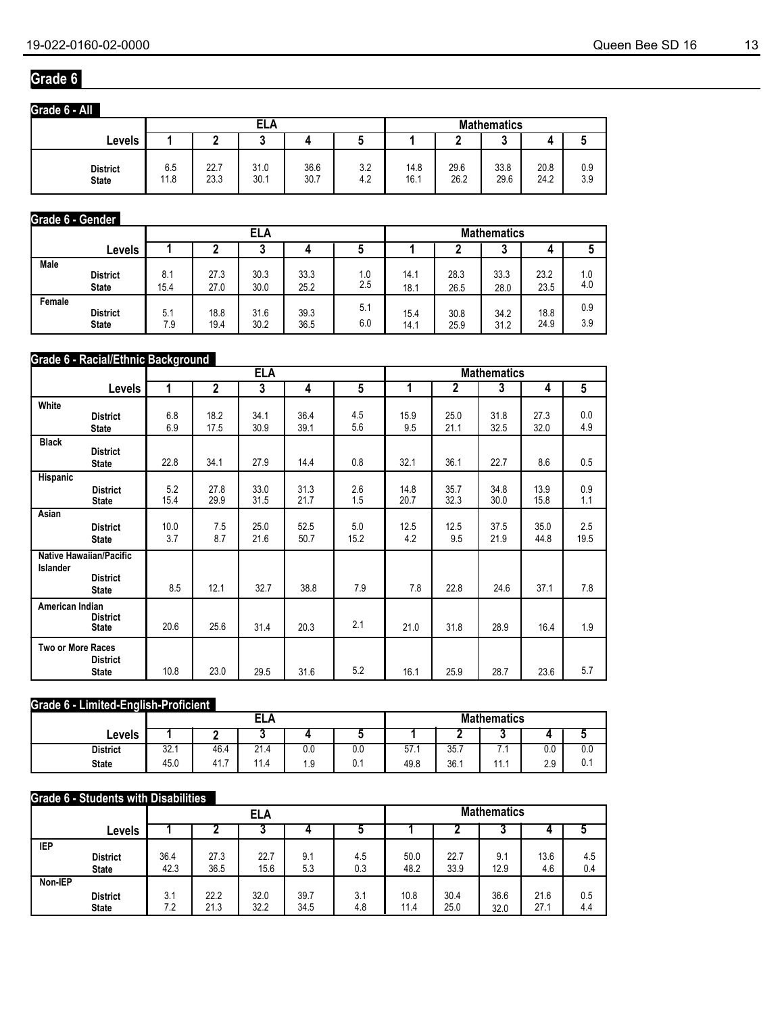### **Grade 6**

| Grade 6 - All                   |             |              |              |              |            |              |              |                    |              |            |
|---------------------------------|-------------|--------------|--------------|--------------|------------|--------------|--------------|--------------------|--------------|------------|
|                                 |             |              | ELA          |              |            |              |              | <b>Mathematics</b> |              |            |
| Levels                          |             |              |              |              |            |              |              | .,<br>J            | д            | u          |
| <b>District</b><br><b>State</b> | 6.5<br>11.8 | 22.7<br>23.3 | 31.0<br>30.1 | 36.6<br>30.7 | 3.2<br>4.2 | 14.8<br>16.1 | 29.6<br>26.2 | 33.8<br>29.6       | 20.8<br>24.2 | 0.9<br>3.9 |

#### **Grade 6 - Gender**

|        |                 |      |      |      | <b>Mathematics</b> |     |      |      |        |      |     |
|--------|-----------------|------|------|------|--------------------|-----|------|------|--------|------|-----|
|        | Levels          |      |      | υ    |                    |     |      |      | ◠<br>J | 4    |     |
| Male   | <b>District</b> | 8.1  | 27.3 | 30.3 | 33.3               | 1.0 | 14.1 | 28.3 | 33.3   | 23.2 | 1.0 |
|        | <b>State</b>    | 15.4 | 27.0 | 30.0 | 25.2               | 2.5 | 18.1 | 26.5 | 28.0   | 23.5 | 4.0 |
| Female | <b>District</b> | 5.1  | 18.8 | 31.6 | 39.3               | 5.1 | 15.4 | 30.8 | 34.2   | 18.8 | 0.9 |
|        | <b>State</b>    | 7.9  | 19.4 | 30.2 | 36.5               | 6.0 | 14.1 | 25.9 | 31.2   | 24.9 | 3.9 |

#### **Grade 6 - Racial/Ethnic Background**

|                          |                                                                   |             |                | <b>ELA</b>   |              |             | <b>Mathematics</b> |                |              |              |                |
|--------------------------|-------------------------------------------------------------------|-------------|----------------|--------------|--------------|-------------|--------------------|----------------|--------------|--------------|----------------|
|                          | Levels                                                            | 1           | $\overline{2}$ | 3            | 4            | 5           | 1                  | $\overline{2}$ | 3            | 4            | $\overline{5}$ |
| White                    | <b>District</b><br><b>State</b>                                   | 6.8<br>6.9  | 18.2<br>17.5   | 34.1<br>30.9 | 36.4<br>39.1 | 4.5<br>5.6  | 15.9<br>9.5        | 25.0<br>21.1   | 31.8<br>32.5 | 27.3<br>32.0 | 0.0<br>4.9     |
| <b>Black</b>             | <b>District</b><br><b>State</b>                                   | 22.8        | 34.1           | 27.9         | 14.4         | 0.8         | 32.1               | 36.1           | 22.7         | 8.6          | 0.5            |
| Hispanic                 | <b>District</b><br><b>State</b>                                   | 5.2<br>15.4 | 27.8<br>29.9   | 33.0<br>31.5 | 31.3<br>21.7 | 2.6<br>1.5  | 14.8<br>20.7       | 35.7<br>32.3   | 34.8<br>30.0 | 13.9<br>15.8 | 0.9<br>1.1     |
| Asian                    | <b>District</b><br><b>State</b>                                   | 10.0<br>3.7 | 7.5<br>8.7     | 25.0<br>21.6 | 52.5<br>50.7 | 5.0<br>15.2 | 12.5<br>4.2        | 12.5<br>9.5    | 37.5<br>21.9 | 35.0<br>44.8 | 2.5<br>19.5    |
| Islander                 | <b>Native Hawaiian/Pacific</b><br><b>District</b><br><b>State</b> | 8.5         | 12.1           | 32.7         | 38.8         | 7.9         | 7.8                | 22.8           | 24.6         | 37.1         | 7.8            |
| American Indian          | <b>District</b><br><b>State</b>                                   | 20.6        | 25.6           | 31.4         | 20.3         | 2.1         | 21.0               | 31.8           | 28.9         | 16.4         | 1.9            |
| <b>Two or More Races</b> | <b>District</b><br><b>State</b>                                   | 10.8        | 23.0           | 29.5         | 31.6         | 5.2         | 16.1               | 25.9           | 28.7         | 23.6         | 5.7            |

#### **Grade 6 - Limited-English-Proficient**

|                 |      |          | <b>ELA</b>           |         |     | <b>Mathematics</b> |      |    |     |                      |
|-----------------|------|----------|----------------------|---------|-----|--------------------|------|----|-----|----------------------|
| Levels          |      |          |                      |         |     |                    | -    | ۰  |     | $\ddot{\phantom{1}}$ |
| <b>District</b> | 32.7 | 46.4     | $\mathbf{A}$<br>21.4 | $0.0\,$ | 0.0 | 57.1               | 35.7 | ٠. | 0.0 | 0.0                  |
| <b>State</b>    | 45.0 | 41.<br>- | 11.4                 | 9.ا     | 0.1 | 49.8               | 36.1 | .  | 2.9 | 0.1                  |

## **Grade 6 - Students with Disabilities**

|            |                 |      |      | <b>ELA</b> |      |     | <b>Mathematics</b> |      |      |      |     |
|------------|-----------------|------|------|------------|------|-----|--------------------|------|------|------|-----|
|            | Levels          |      |      |            |      |     |                    |      |      |      |     |
| <b>IEP</b> |                 |      |      |            |      |     |                    |      |      |      |     |
|            | <b>District</b> | 36.4 | 27.3 | 22.7       | 9.1  | 4.5 | 50.0               | 22.7 | 9.1  | 13.6 | 4.5 |
|            | <b>State</b>    | 42.3 | 36.5 | 15.6       | 5.3  | 0.3 | 48.2               | 33.9 | 12.9 | 4.6  | 0.4 |
| Non-IEP    |                 |      |      |            |      |     |                    |      |      |      |     |
|            | <b>District</b> | 3.1  | 22.2 | 32.0       | 39.7 | 3.1 | 10.8               | 30.4 | 36.6 | 21.6 | 0.5 |
|            | <b>State</b>    | 7.2  | 21.3 | 32.2       | 34.5 | 4.8 | 11.4               | 25.0 | 32.0 | 27.1 | 4.4 |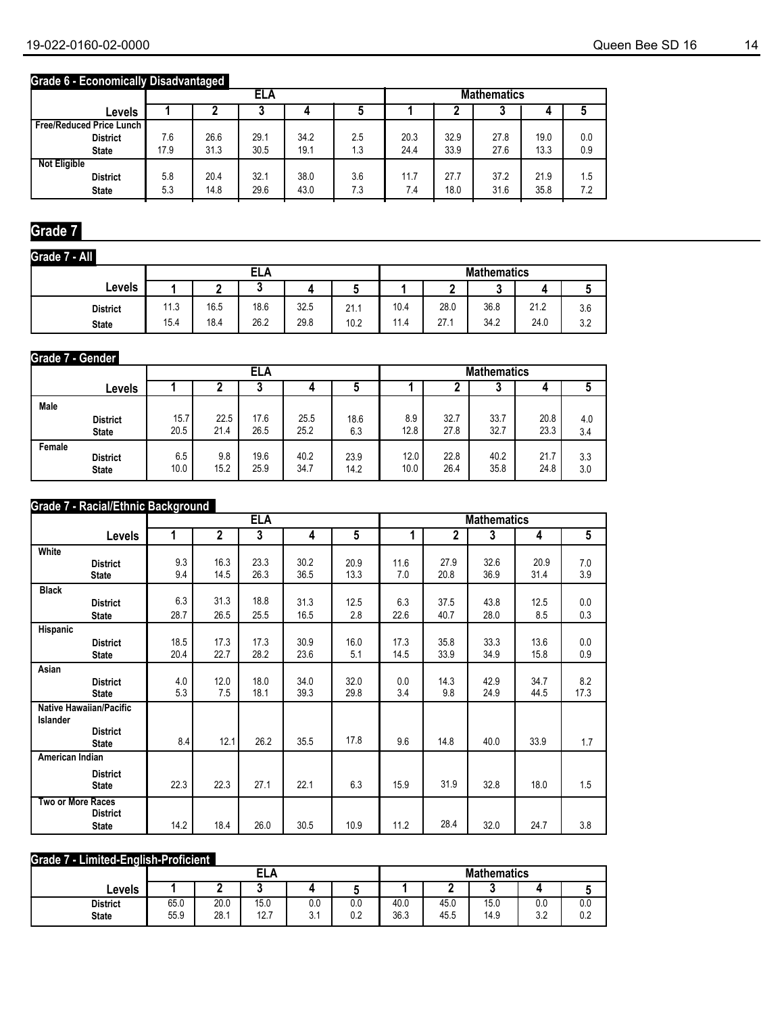### **Grade 6 - Economically Disadvantaged**

|                                   |      |      | ELA  |             |     |      |      | <b>Mathematics</b> |      |     |
|-----------------------------------|------|------|------|-------------|-----|------|------|--------------------|------|-----|
| Levels                            |      |      |      |             |     |      |      |                    |      |     |
| <b>Free/Reduced Price Lunch I</b> |      |      |      |             |     |      |      |                    |      |     |
| <b>District</b>                   | 7.6  | 26.6 | 29.1 | 34.2        | 2.5 | 20.3 | 32.9 | 27.8               | 19.0 | 0.0 |
| <b>State</b>                      | 17.9 | 31.3 | 30.5 | 19.1        | 1.3 | 24.4 | 33.9 | 27.6               | 13.3 | 0.9 |
| <b>Not Eligible</b>               |      |      |      |             |     |      |      |                    |      |     |
| <b>District</b>                   | 5.8  | 20.4 | 32.1 | 38.0        | 3.6 | 11.7 | 27.7 | 37.2               | 21.9 | 1.5 |
| <b>State</b>                      | 5.3  | 14.8 | 29.6 | 43.0<br>7.3 |     |      | 18.0 | 31.6               | 35.8 | 7.2 |

### **Grade 7**

**Grade 7 - All**

| Grade 7 - All   |      |      |      |      |      |      |      |                    |      |     |
|-----------------|------|------|------|------|------|------|------|--------------------|------|-----|
|                 |      |      | ELA  |      |      |      |      | <b>Mathematics</b> |      |     |
| Levels          |      |      |      |      |      |      |      | u                  |      |     |
| <b>District</b> | 11.3 | 16.5 | 18.6 | 32.5 | 21.1 | 10.4 | 28.0 | 36.8               | 21.2 | 3.6 |
| <b>State</b>    | 15.4 | 18.4 | 26.2 | 29.8 | 10.2 | 11.4 | 27.1 | 34.2               | 24.0 | 3.2 |

#### **Grade 7 - Gender**

|        |                 |      |      | ELA  |      |      | <b>Mathematics</b> |      |      |      |     |
|--------|-----------------|------|------|------|------|------|--------------------|------|------|------|-----|
|        | Levels          |      |      | u    | 4    | J    |                    |      |      |      |     |
| Male   | <b>District</b> | 15.7 | 22.5 | 17.6 | 25.5 | 18.6 | 8.9                | 32.7 | 33.7 | 20.8 | 4.0 |
|        | <b>State</b>    | 20.5 | 21.4 | 26.5 | 25.2 | 6.3  | 12.8               | 27.8 | 32.7 | 23.3 | 3.4 |
| Female | <b>District</b> | 6.5  | 9.8  | 19.6 | 40.2 | 23.9 | 12.0               | 22.8 | 40.2 | 21.7 | 3.3 |
|        | <b>State</b>    | 10.0 | 15.2 | 25.9 | 34.7 | 14.2 | 10.0               | 26.4 | 35.8 | 24.8 | 3.0 |

#### **Grade 7 - Racial/Ethnic Background**

|                          |                                |      |                | <b>ELA</b> |      |      |      |      | <b>Mathematics</b> |      |      |
|--------------------------|--------------------------------|------|----------------|------------|------|------|------|------|--------------------|------|------|
|                          | <b>Levels</b>                  | 1    | $\overline{2}$ | 3          | 4    | 5    | 1    | 2    | 3                  | 4    | 5    |
| White                    |                                |      |                |            |      |      |      |      |                    |      |      |
|                          | <b>District</b>                | 9.3  | 16.3           | 23.3       | 30.2 | 20.9 | 11.6 | 27.9 | 32.6               | 20.9 | 7.0  |
|                          | <b>State</b>                   | 9.4  | 14.5           | 26.3       | 36.5 | 13.3 | 7.0  | 20.8 | 36.9               | 31.4 | 3.9  |
| <b>Black</b>             |                                |      |                |            |      |      |      |      |                    |      |      |
|                          | <b>District</b>                | 6.3  | 31.3           | 18.8       | 31.3 | 12.5 | 6.3  | 37.5 | 43.8               | 12.5 | 0.0  |
|                          | <b>State</b>                   | 28.7 | 26.5           | 25.5       | 16.5 | 2.8  | 22.6 | 40.7 | 28.0               | 8.5  | 0.3  |
| Hispanic                 |                                |      |                |            |      |      |      |      |                    |      |      |
|                          | <b>District</b>                | 18.5 | 17.3           | 17.3       | 30.9 | 16.0 | 17.3 | 35.8 | 33.3               | 13.6 | 0.0  |
|                          | <b>State</b>                   | 20.4 | 22.7           | 28.2       | 23.6 | 5.1  | 14.5 | 33.9 | 34.9               | 15.8 | 0.9  |
| Asian                    |                                |      |                |            |      |      |      |      |                    |      |      |
|                          | <b>District</b>                | 4.0  | 12.0           | 18.0       | 34.0 | 32.0 | 0.0  | 14.3 | 42.9               | 34.7 | 8.2  |
|                          | <b>State</b>                   | 5.3  | 7.5            | 18.1       | 39.3 | 29.8 | 3.4  | 9.8  | 24.9               | 44.5 | 17.3 |
|                          | <b>Native Hawaiian/Pacific</b> |      |                |            |      |      |      |      |                    |      |      |
| <b>Islander</b>          |                                |      |                |            |      |      |      |      |                    |      |      |
|                          | <b>District</b>                | 8.4  | 12.1           | 26.2       | 35.5 | 17.8 | 9.6  | 14.8 | 40.0               | 33.9 |      |
|                          | <b>State</b>                   |      |                |            |      |      |      |      |                    |      | 1.7  |
| American Indian          |                                |      |                |            |      |      |      |      |                    |      |      |
|                          | <b>District</b>                |      |                |            |      |      |      |      |                    |      |      |
|                          | <b>State</b>                   | 22.3 | 22.3           | 27.1       | 22.1 | 6.3  | 15.9 | 31.9 | 32.8               | 18.0 | 1.5  |
| <b>Two or More Races</b> |                                |      |                |            |      |      |      |      |                    |      |      |
|                          | <b>District</b>                |      |                |            |      |      |      |      |                    |      |      |
|                          | <b>State</b>                   | 14.2 | 18.4           | 26.0       | 30.5 | 10.9 | 11.2 | 28.4 | 32.0               | 24.7 | 3.8  |

#### **Grade 7 - Limited-English-Proficient**

|                 |      |              | <b>ELA</b>   |     |     |              |      | <b>Mathematics</b> |           |     |
|-----------------|------|--------------|--------------|-----|-----|--------------|------|--------------------|-----------|-----|
| Levels          |      | -            |              |     |     |              | -    |                    |           |     |
| <b>District</b> | 65.0 | 20.0<br>28.1 | 15.0<br>12.7 | 0.0 | 0.0 | 40.0<br>36.3 | 45.0 | 15.0               | 0.0<br>າາ | 0.0 |
| <b>State</b>    | 55.9 |              |              | ◡.  | 0.2 |              | 45.5 | 14.9               | J.L       | 0.2 |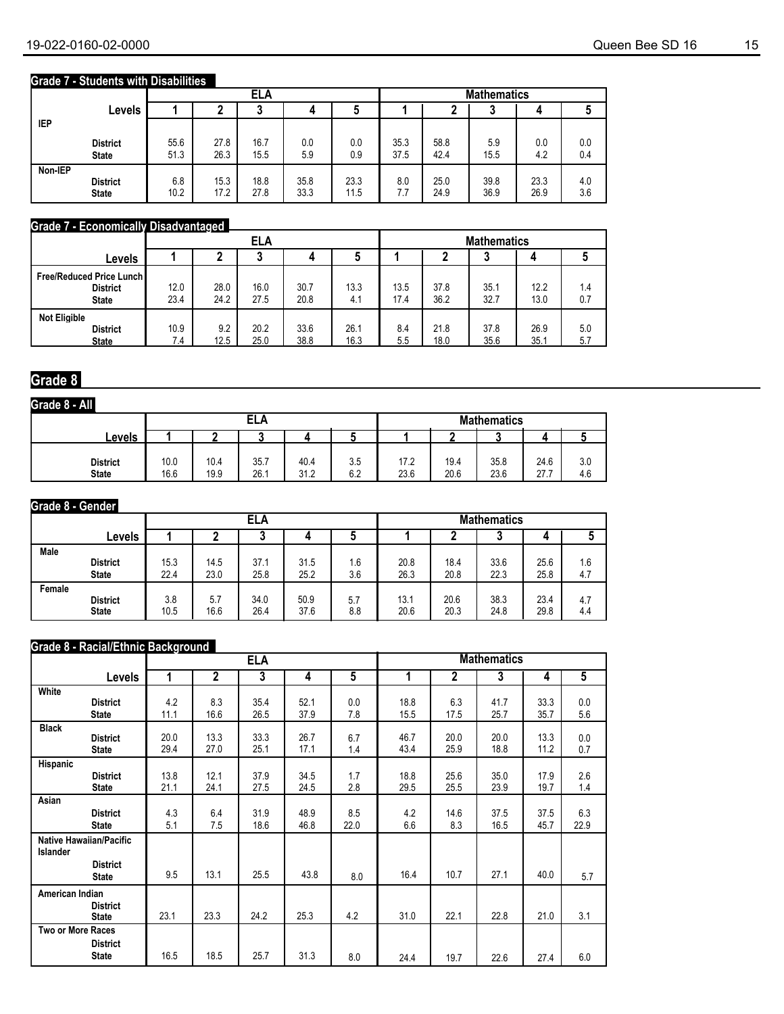### **Grade 7 - Students with Disabilities**

|         |                                 |              |              | ELA          |              | <b>Mathematics</b> |              |              |              |              |            |
|---------|---------------------------------|--------------|--------------|--------------|--------------|--------------------|--------------|--------------|--------------|--------------|------------|
|         | Levels                          |              |              | ≏            |              | 5                  |              |              |              |              |            |
| IEP     |                                 |              |              |              |              |                    |              |              |              |              |            |
|         | <b>District</b><br><b>State</b> | 55.6<br>51.3 | 27.8<br>26.3 | 16.7<br>15.5 | 0.0<br>5.9   | 0.0<br>0.9         | 35.3<br>37.5 | 58.8<br>42.4 | 5.9<br>15.5  | 0.0<br>4.2   | 0.0<br>0.4 |
| Non-IEP | <b>District</b><br><b>State</b> | 6.8<br>10.2  | 15.3<br>17.2 | 18.8<br>27.8 | 35.8<br>33.3 | 23.3<br>11.5       | 8.0<br>77    | 25.0<br>24.9 | 39.8<br>36.9 | 23.3<br>26.9 | 4.0<br>3.6 |

#### **Grade 7 - Economically Disadvantaged**

|                                                                      |              |              | ELA          |              |              |              |              | <b>Mathematics</b> |              |            |
|----------------------------------------------------------------------|--------------|--------------|--------------|--------------|--------------|--------------|--------------|--------------------|--------------|------------|
| Levels                                                               |              |              |              | 4            |              |              |              |                    |              |            |
| <b>Free/Reduced Price Lunch I</b><br><b>District</b><br><b>State</b> | 12.0<br>23.4 | 28.0<br>24.2 | 16.0<br>27.5 | 30.7<br>20.8 | 13.3<br>4.1  | 13.5<br>17.4 | 37.8<br>36.2 | 35.1<br>32.7       | 12.2<br>13.0 | 1.4<br>0.7 |
| <b>Not Eligible</b><br><b>District</b><br><b>State</b>               | 10.9<br>7.4  | 9.2<br>12.5  | 20.2<br>25.0 | 33.6<br>38.8 | 26.1<br>16.3 | 8.4<br>5.5   | 21.8<br>18.0 | 37.8<br>35.6       | 26.9<br>35.1 | 5.0<br>5.7 |

### **Grade 8**

| Grade 8 - All                   |              |              |              |              |            |              |              |                    |              |            |
|---------------------------------|--------------|--------------|--------------|--------------|------------|--------------|--------------|--------------------|--------------|------------|
|                                 |              |              | ELA          |              |            |              |              | <b>Mathematics</b> |              |            |
| <b>Levels</b>                   |              |              |              |              |            |              |              |                    |              |            |
| <b>District</b><br><b>State</b> | 10.0<br>16.6 | 10.4<br>19.9 | 35.7<br>26.1 | 40.4<br>31.2 | 3.5<br>6.2 | 17.2<br>23.6 | 19.4<br>20.6 | 35.8<br>23.6       | 24.6<br>27.7 | 3.0<br>4.6 |

#### **Grade 8 - Gender**

|        |                 |      |      | ELA  |      |     | <b>Mathematics</b> |      |      |      |     |
|--------|-----------------|------|------|------|------|-----|--------------------|------|------|------|-----|
|        | Levels          |      |      | u    |      | ა   |                    |      | u    |      |     |
| Male   | <b>District</b> | 15.3 | 14.5 | 37.1 | 31.5 | 1.6 | 20.8               | 18.4 | 33.6 | 25.6 | 1.6 |
|        | <b>State</b>    | 22.4 | 23.0 | 25.8 | 25.2 | 3.6 | 26.3               | 20.8 | 22.3 | 25.8 | 4.7 |
| Female | <b>District</b> | 3.8  | 5.7  | 34.0 | 50.9 | 5.7 | 13.1               | 20.6 | 38.3 | 23.4 | 4.7 |
|        | <b>State</b>    | 10.5 | 16.6 | 26.4 | 37.6 | 8.8 | 20.6               | 20.3 | 24.8 | 29.8 | 4.4 |

#### **Grade 8 - Racial/Ethnic Background**

|                          |                                |      |      | <b>ELA</b> |      |      |              |              | <b>Mathematics</b> |              |                |
|--------------------------|--------------------------------|------|------|------------|------|------|--------------|--------------|--------------------|--------------|----------------|
|                          | Levels                         | 1    | 2    | 3          | 4    | 5    | 1            | 2            | 3                  | 4            | $\overline{5}$ |
| White                    |                                |      |      |            |      |      |              |              |                    |              |                |
|                          | <b>District</b>                | 4.2  | 8.3  | 35.4       | 52.1 | 0.0  | 18.8         | 6.3          | 41.7               | 33.3         | 0.0            |
|                          | <b>State</b>                   | 11.1 | 16.6 | 26.5       | 37.9 | 7.8  | 15.5         | 17.5         | 25.7               | 35.7         | 5.6            |
| <b>Black</b>             |                                |      |      |            |      |      |              |              |                    |              |                |
|                          | <b>District</b>                | 20.0 | 13.3 | 33.3       | 26.7 | 6.7  | 46.7<br>43.4 | 20.0<br>25.9 | 20.0<br>18.8       | 13.3<br>11.2 | 0.0            |
|                          | <b>State</b>                   | 29.4 | 27.0 | 25.1       | 17.1 | 1.4  |              |              |                    |              | 0.7            |
| Hispanic                 |                                |      |      |            |      |      |              |              |                    |              |                |
|                          | <b>District</b>                | 13.8 | 12.1 | 37.9       | 34.5 | 1.7  | 18.8         | 25.6         | 35.0               | 17.9         | 2.6            |
|                          | <b>State</b>                   | 21.1 | 24.1 | 27.5       | 24.5 | 2.8  | 29.5         | 25.5         | 23.9               | 19.7         | 1.4            |
| Asian                    |                                |      |      |            |      |      |              |              |                    |              |                |
|                          | <b>District</b>                | 4.3  | 6.4  | 31.9       | 48.9 | 8.5  | 4.2          | 14.6         | 37.5               | 37.5         | 6.3            |
|                          | <b>State</b>                   | 5.1  | 7.5  | 18.6       | 46.8 | 22.0 | 6.6          | 8.3          | 16.5               | 45.7         | 22.9           |
|                          | <b>Native Hawaiian/Pacific</b> |      |      |            |      |      |              |              |                    |              |                |
| <b>Islander</b>          |                                |      |      |            |      |      |              |              |                    |              |                |
|                          | <b>District</b>                |      |      |            |      |      |              |              |                    |              |                |
|                          | <b>State</b>                   | 9.5  | 13.1 | 25.5       | 43.8 | 8.0  | 16.4         | 10.7         | 27.1               | 40.0         | 5.7            |
| American Indian          |                                |      |      |            |      |      |              |              |                    |              |                |
|                          | <b>District</b>                |      |      |            |      |      |              |              |                    |              |                |
|                          | <b>State</b>                   | 23.1 | 23.3 | 24.2       | 25.3 | 4.2  | 31.0         | 22.1         | 22.8               | 21.0         | 3.1            |
| <b>Two or More Races</b> |                                |      |      |            |      |      |              |              |                    |              |                |
|                          | <b>District</b>                |      |      |            |      |      |              |              |                    |              |                |
|                          | <b>State</b>                   | 16.5 | 18.5 | 25.7       | 31.3 | 8.0  | 24.4         | 19.7         | 22.6               | 27.4         | 6.0            |
|                          |                                |      |      |            |      |      |              |              |                    |              |                |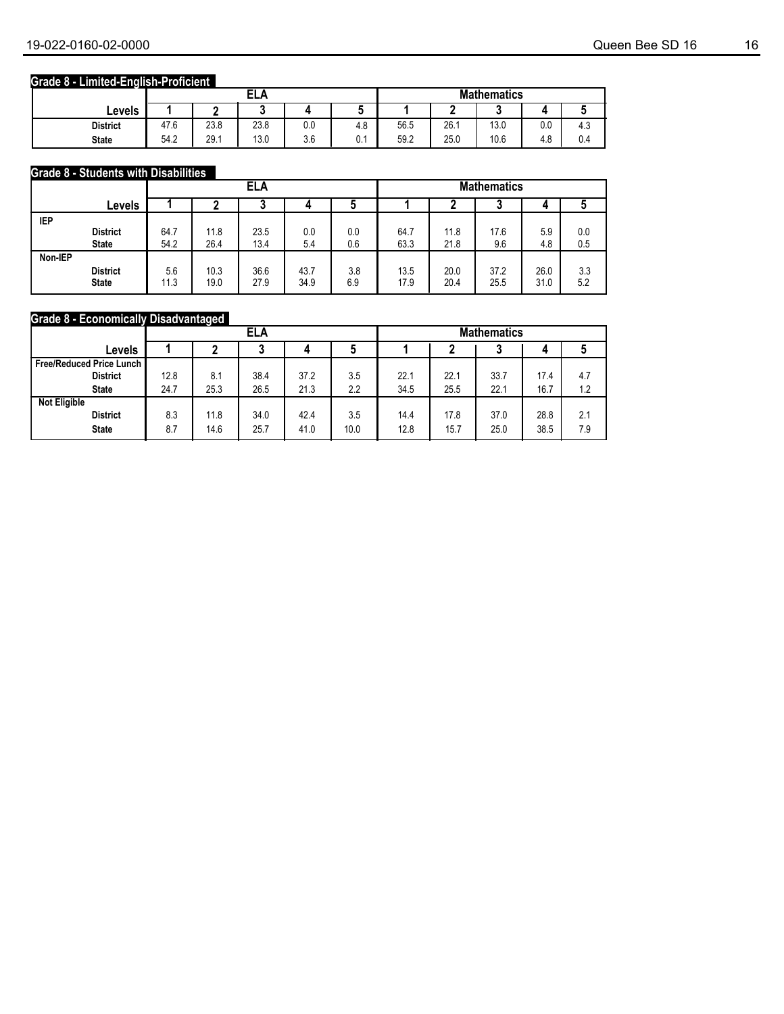### **Grade 8 - Limited-English-Proficient**

|                 |      |      | <b>ELA</b> |     |                |      |      | <b>Mathematics</b> |     |           |
|-----------------|------|------|------------|-----|----------------|------|------|--------------------|-----|-----------|
| ∟evels          |      |      |            |     |                |      |      |                    |     |           |
| <b>District</b> | 47.6 | 23.8 | 23.8       | 0.0 | 4.8            | 56.5 | 26.7 | 13.0               | 0.0 | ໍ່<br>4.0 |
| <b>State</b>    | 54.2 | 29.1 | 13.0       | 3.6 | $\sim$<br>υ. ι | 59.2 | 25.0 | 10.6               | 4.8 | 0.4       |

### **Grade 8 - Students with Disabilities**

|            |                 |      | ELA  |      |      |     | <b>Mathematics</b> |      |      |      |     |
|------------|-----------------|------|------|------|------|-----|--------------------|------|------|------|-----|
|            | Levels          |      |      |      |      |     |                    |      | w    |      |     |
| <b>IEP</b> |                 |      |      |      |      |     |                    |      |      |      |     |
|            | <b>District</b> | 64.7 | 11.8 | 23.5 | 0.0  | 0.0 | 64.7               | 11.8 | 17.6 | 5.9  | 0.0 |
|            | <b>State</b>    | 54.2 | 26.4 | 13.4 | 5.4  | 0.6 | 63.3               | 21.8 | 9.6  | 4.8  | 0.5 |
| Non-IEP    |                 |      |      |      |      |     |                    |      |      |      |     |
|            | <b>District</b> | 5.6  | 10.3 | 36.6 | 43.7 | 3.8 | 13.5               | 20.0 | 37.2 | 26.0 | 3.3 |
|            | <b>State</b>    | 11.3 | 19.0 | 27.9 | 34.9 | 6.9 | 17.9               | 20.4 | 25.5 | 31.0 | 5.2 |

### **Grade 8 - Economically Disadvantaged**

|                          |      | ELA  |      |      |      | <b>Mathematics</b> |      |      |      |     |
|--------------------------|------|------|------|------|------|--------------------|------|------|------|-----|
| Levels                   |      |      |      |      |      |                    |      |      | 4    | J   |
| Free/Reduced Price Lunch |      |      |      |      |      |                    |      |      |      |     |
| <b>District</b>          | 12.8 | 8.1  | 38.4 | 37.2 | 3.5  | 22.1               | 22.1 | 33.7 | 17.4 | 4.7 |
| <b>State</b>             | 24.7 | 25.3 | 26.5 | 21.3 | 2.2  | 34.5               | 25.5 | 22.1 | 16.7 | 1.2 |
| <b>Not Eligible</b>      |      |      |      |      |      |                    |      |      |      |     |
| <b>District</b>          | 8.3  | 11.8 | 34.0 | 42.4 | 3.5  | 14.4               | 17.8 | 37.0 | 28.8 | 2.1 |
| <b>State</b>             | 8.7  | 14.6 | 25.7 | 41.0 | 10.0 | 12.8               | 15.7 | 25.0 | 38.5 | 7.9 |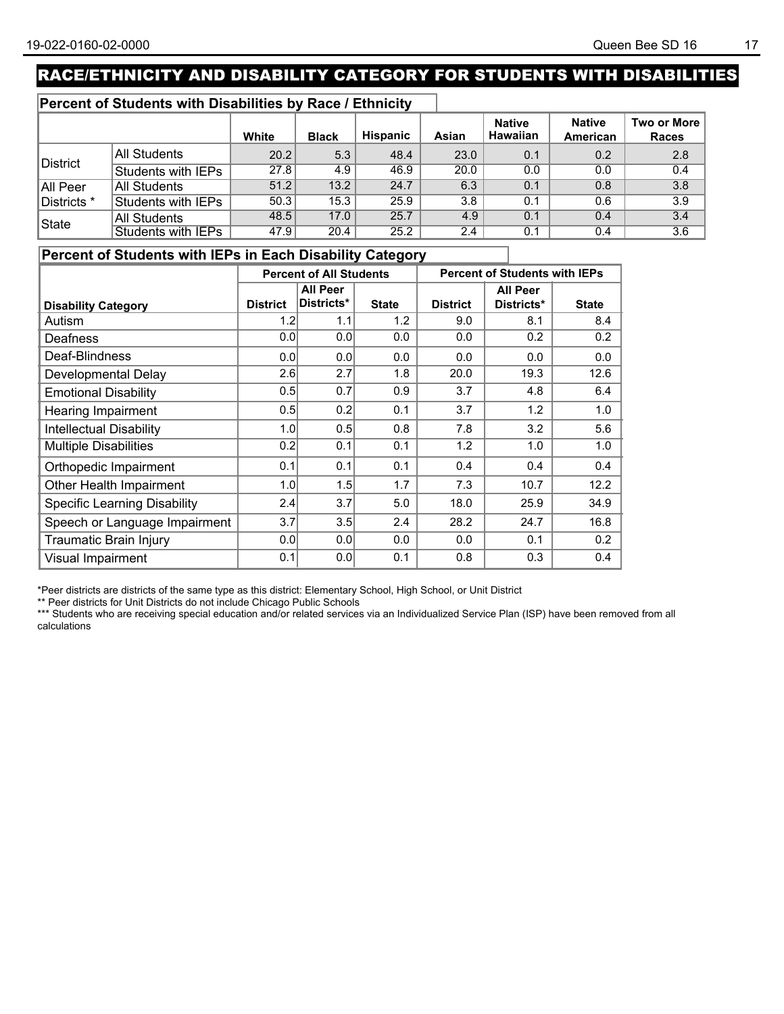## RACE/ETHNICITY AND DISABILITY CATEGORY FOR STUDENTS WITH DISABILITIES

### **Percent of Students with Disabilities by Race / Ethnicity**

|              |                           | White | <b>Black</b> | <b>Hispanic</b> | Asian         | <b>Native</b><br><b>Hawaiian</b> | <b>Native</b><br>American | Two or More  <br><b>Races</b> |
|--------------|---------------------------|-------|--------------|-----------------|---------------|----------------------------------|---------------------------|-------------------------------|
|              | All Students              | 20.2  | 5.3          | 48.4            | 23.0          | 0.1                              | 0.2                       | 2.8                           |
| District     | Students with IEPs        | 27.8  | 4.9          | 46.9            | 20.0          | 0.0                              | 0.0                       | 0.4                           |
| All Peer     | All Students              | 51.2  | 13.2         | 24.7            | 6.3           | 0.1                              | 0.8                       | 3.8                           |
| Districts *  | Students with IEPs        | 50.3  | 15.3         | 25.9            | 3.8           | 0.1                              | 0.6                       | 3.9                           |
| <b>State</b> | All Students              | 48.5  | 17.0         | 25.7            | 4.9           | 0.1                              | 0.4                       | 3.4                           |
|              | <b>Students with IEPs</b> | 47.9  | 20.4         | 25.2            | $2.4^{\circ}$ | 0.1                              | 0.4                       | 3.6                           |

### **Percent of Students with IEPs in Each Disability Category**

|                                     |                 | <b>Percent of All Students</b> |              |                 | <b>Percent of Students with IEPs</b> |              |
|-------------------------------------|-----------------|--------------------------------|--------------|-----------------|--------------------------------------|--------------|
|                                     |                 | <b>All Peer</b>                |              |                 | <b>All Peer</b>                      |              |
| <b>Disability Category</b>          | <b>District</b> | Districts*                     | <b>State</b> | <b>District</b> | Districts*                           | <b>State</b> |
| Autism                              | 1.2             | 1.1                            | 1.2          | 9.0             | 8.1                                  | 8.4          |
| Deafness                            | 0.0             | 0.0                            | 0.0          | 0.0             | 0.2                                  | 0.2          |
| Deaf-Blindness                      | 0.0             | 0.0                            | 0.0          | 0.0             | 0.0                                  | 0.0          |
| Developmental Delay                 | 2.6             | 2.7                            | 1.8          | 20.0            | 19.3                                 | 12.6         |
| <b>Emotional Disability</b>         | 0.5             | 0.7                            | 0.9          | 3.7             | 4.8                                  | 6.4          |
| <b>Hearing Impairment</b>           | 0.5             | 0.2                            | 0.1          | 3.7             | 1.2                                  | 1.0          |
| <b>Intellectual Disability</b>      | 1.0             | 0.5                            | 0.8          | 7.8             | 3.2                                  | 5.6          |
| <b>Multiple Disabilities</b>        | 0.2             | 0.1                            | 0.1          | 1.2             | 1.0                                  | 1.0          |
| Orthopedic Impairment               | 0.1             | 0.1                            | 0.1          | 0.4             | 0.4                                  | 0.4          |
| Other Health Impairment             | 1.0             | 1.5                            | 1.7          | 7.3             | 10.7                                 | 12.2         |
| <b>Specific Learning Disability</b> | 2.4             | 3.7                            | 5.0          | 18.0            | 25.9                                 | 34.9         |
| Speech or Language Impairment       | 3.7             | 3.5                            | 2.4          | 28.2            | 24.7                                 | 16.8         |
| Traumatic Brain Injury              | 0.0             | 0.0                            | 0.0          | 0.0             | 0.1                                  | 0.2          |
| Visual Impairment                   | 0.1             | 0.0                            | 0.1          | 0.8             | 0.3                                  | 0.4          |

\*Peer districts are districts of the same type as this district: Elementary School, High School, or Unit District

\*\* Peer districts for Unit Districts do not include Chicago Public Schools

\*\*\* Students who are receiving special education and/or related services via an Individualized Service Plan (ISP) have been removed from all<br>\*\*\* Students who are receiving special education and/or related services via an I calculations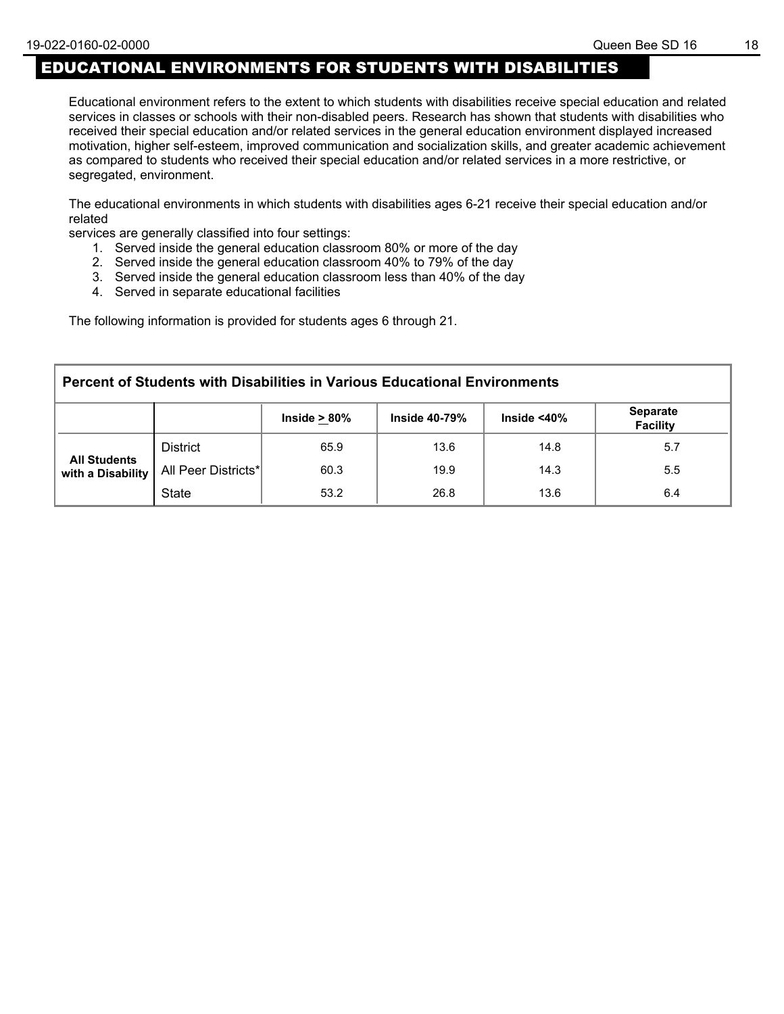## EDUCATIONAL ENVIRONMENTS FOR STUDENTS WITH DISABILITIES

Educational environment refers to the extent to which students with disabilities receive special education and related services in classes or schools with their non-disabled peers. Research has shown that students with disabilities who received their special education and/or related services in the general education environment displayed increased motivation, higher self-esteem, improved communication and socialization skills, and greater academic achievement as compared to students who received their special education and/or related services in a more restrictive, or segregated, environment.

The educational environments in which students with disabilities ages 6-21 receive their special education and/or related

services are generally classified into four settings:

- 1. Served inside the general education classroom 80% or more of the day
- 2. Served inside the general education classroom 40% to 79% of the day
- 3. Served inside the general education classroom less than 40% of the day
- 4. Served in separate educational facilities

The following information is provided for students ages 6 through 21.

| <b>Percent of Students with Disabilities in Various Educational Environments</b> |                     |                 |                  |                    |                                    |  |  |  |
|----------------------------------------------------------------------------------|---------------------|-----------------|------------------|--------------------|------------------------------------|--|--|--|
|                                                                                  |                     | Inside $> 80\%$ | Inside $40-79\%$ | Inside $<$ 40 $\%$ | <b>Separate</b><br><b>Facility</b> |  |  |  |
|                                                                                  | <b>District</b>     | 65.9            | 13.6             | 14.8               | 5.7                                |  |  |  |
| <b>All Students</b><br>with a Disability                                         | All Peer Districts* | 60.3            | 19.9             | 14.3               | 5.5                                |  |  |  |
|                                                                                  | <b>State</b>        | 53.2            | 26.8             | 13.6               | 6.4                                |  |  |  |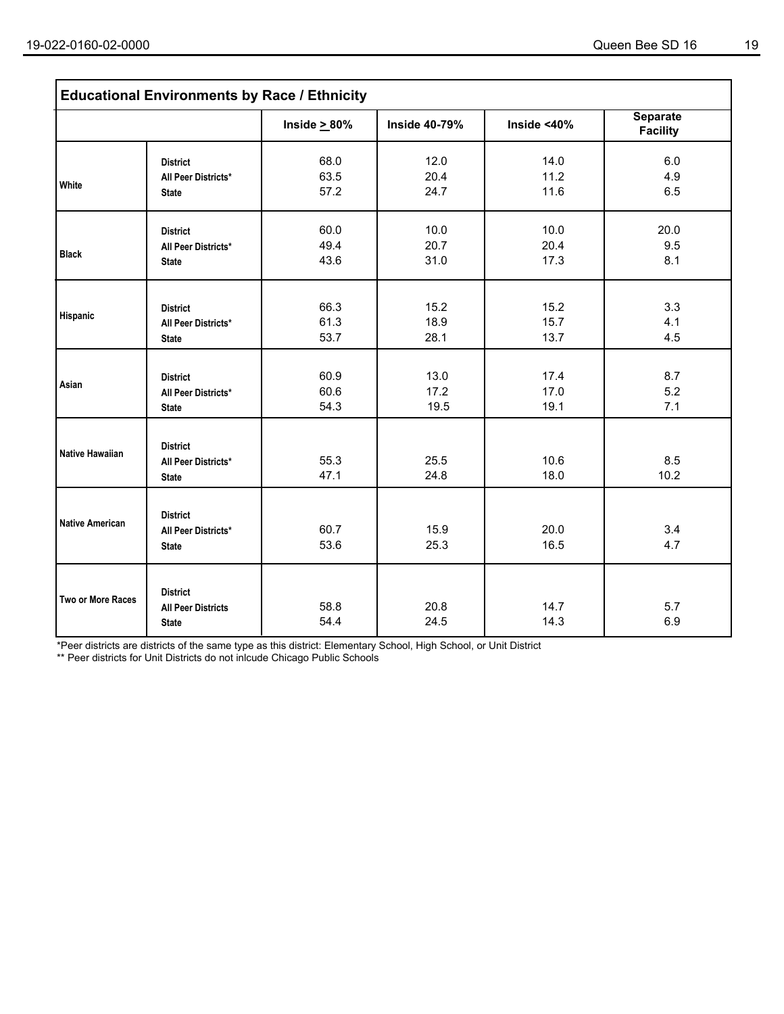| <b>Educational Environments by Race / Ethnicity</b> |                                                              |                      |                      |                      |                                    |  |  |  |
|-----------------------------------------------------|--------------------------------------------------------------|----------------------|----------------------|----------------------|------------------------------------|--|--|--|
|                                                     |                                                              | Inside $\geq 80\%$   | <b>Inside 40-79%</b> | Inside <40%          | <b>Separate</b><br><b>Facility</b> |  |  |  |
| White                                               | <b>District</b><br>All Peer Districts*<br><b>State</b>       | 68.0<br>63.5<br>57.2 | 12.0<br>20.4<br>24.7 | 14.0<br>11.2<br>11.6 | 6.0<br>4.9<br>6.5                  |  |  |  |
| <b>Black</b>                                        | <b>District</b><br>All Peer Districts*<br><b>State</b>       | 60.0<br>49.4<br>43.6 | 10.0<br>20.7<br>31.0 | 10.0<br>20.4<br>17.3 | 20.0<br>9.5<br>8.1                 |  |  |  |
| Hispanic                                            | <b>District</b><br>All Peer Districts*<br><b>State</b>       | 66.3<br>61.3<br>53.7 | 15.2<br>18.9<br>28.1 | 15.2<br>15.7<br>13.7 | 3.3<br>4.1<br>4.5                  |  |  |  |
| Asian                                               | <b>District</b><br>All Peer Districts*<br><b>State</b>       | 60.9<br>60.6<br>54.3 | 13.0<br>17.2<br>19.5 | 17.4<br>17.0<br>19.1 | 8.7<br>5.2<br>7.1                  |  |  |  |
| <b>Native Hawaiian</b>                              | <b>District</b><br>All Peer Districts*<br><b>State</b>       | 55.3<br>47.1         | 25.5<br>24.8         | 10.6<br>18.0         | 8.5<br>10.2                        |  |  |  |
| <b>Native American</b>                              | <b>District</b><br>All Peer Districts*<br><b>State</b>       | 60.7<br>53.6         | 15.9<br>25.3         | 20.0<br>16.5         | 3.4<br>4.7                         |  |  |  |
| Two or More Races                                   | <b>District</b><br><b>All Peer Districts</b><br><b>State</b> | 58.8<br>54.4         | 20.8<br>24.5         | 14.7<br>14.3         | 5.7<br>6.9                         |  |  |  |

\*Peer districts are districts of the same type as this district: Elementary School, High School, or Unit District

\*\* Peer districts for Unit Districts do not inlcude Chicago Public Schools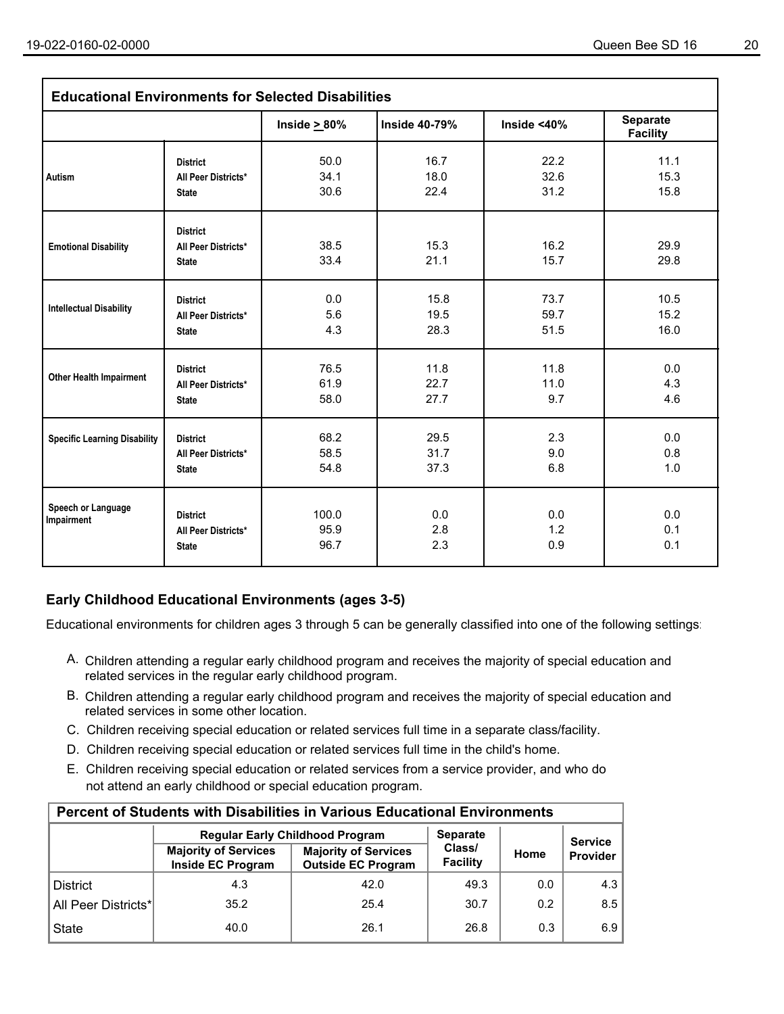| <b>Educational Environments for Selected Disabilities</b> |                                                        |                       |                      |                   |                                    |  |  |  |
|-----------------------------------------------------------|--------------------------------------------------------|-----------------------|----------------------|-------------------|------------------------------------|--|--|--|
|                                                           |                                                        | Inside $\geq 80\%$    | <b>Inside 40-79%</b> | Inside <40%       | <b>Separate</b><br><b>Facility</b> |  |  |  |
| <b>Autism</b>                                             | <b>District</b>                                        | 50.0                  | 16.7                 | 22.2              | 11.1                               |  |  |  |
|                                                           | All Peer Districts*                                    | 34.1                  | 18.0                 | 32.6              | 15.3                               |  |  |  |
|                                                           | <b>State</b>                                           | 30.6                  | 22.4                 | 31.2              | 15.8                               |  |  |  |
| <b>Emotional Disability</b>                               | <b>District</b><br>All Peer Districts*<br><b>State</b> | 38.5<br>33.4          | 15.3<br>21.1         | 16.2<br>15.7      | 29.9<br>29.8                       |  |  |  |
| <b>Intellectual Disability</b>                            | <b>District</b>                                        | 0.0                   | 15.8                 | 73.7              | 10.5                               |  |  |  |
|                                                           | All Peer Districts*                                    | 5.6                   | 19.5                 | 59.7              | 15.2                               |  |  |  |
|                                                           | <b>State</b>                                           | 4.3                   | 28.3                 | 51.5              | 16.0                               |  |  |  |
| <b>Other Health Impairment</b>                            | <b>District</b>                                        | 76.5                  | 11.8                 | 11.8              | 0.0                                |  |  |  |
|                                                           | All Peer Districts*                                    | 61.9                  | 22.7                 | 11.0              | 4.3                                |  |  |  |
|                                                           | <b>State</b>                                           | 58.0                  | 27.7                 | 9.7               | 4.6                                |  |  |  |
| <b>Specific Learning Disability</b>                       | <b>District</b>                                        | 68.2                  | 29.5                 | 2.3               | 0.0                                |  |  |  |
|                                                           | All Peer Districts*                                    | 58.5                  | 31.7                 | 9.0               | 0.8                                |  |  |  |
|                                                           | <b>State</b>                                           | 54.8                  | 37.3                 | 6.8               | 1.0                                |  |  |  |
| Speech or Language<br>Impairment                          | <b>District</b><br>All Peer Districts*<br><b>State</b> | 100.0<br>95.9<br>96.7 | 0.0<br>2.8<br>2.3    | 0.0<br>1.2<br>0.9 | 0.0<br>0.1<br>0.1                  |  |  |  |

### **Early Childhood Educational Environments (ages 3-5)**

Educational environments for children ages 3 through 5 can be generally classified into one of the following settings:

- A. Children attending a regular early childhood program and receives the majority of special education and related services in the regular early childhood program.
- B. Children attending a regular early childhood program and receives the majority of special education and related services in some other location.
- C. Children receiving special education or related services full time in a separate class/facility.
- D. Children receiving special education or related services full time in the child's home.
- E. Children receiving special education or related services from a service provider, and who do not attend an early childhood or special education program.

| <b>Percent of Students with Disabilities in Various Educational Environments</b> |                                                  |                                                          |                    |      |                |  |  |  |  |  |
|----------------------------------------------------------------------------------|--------------------------------------------------|----------------------------------------------------------|--------------------|------|----------------|--|--|--|--|--|
|                                                                                  |                                                  | <b>Regular Early Childhood Program</b>                   | <b>Separate</b>    |      | <b>Service</b> |  |  |  |  |  |
|                                                                                  | <b>Majority of Services</b><br>Inside EC Program | <b>Majority of Services</b><br><b>Outside EC Program</b> | Class/<br>Facility | Home | Provider       |  |  |  |  |  |
| <b>District</b>                                                                  | 4.3                                              | 42.0                                                     | 49.3               | 0.0  | 4.3            |  |  |  |  |  |
| All Peer Districts*                                                              | 35.2                                             | 25.4                                                     | 30.7               | 0.2  | 8.5            |  |  |  |  |  |
| <b>State</b>                                                                     | 40.0                                             | 26.1                                                     | 26.8               | 0.3  | 6.9            |  |  |  |  |  |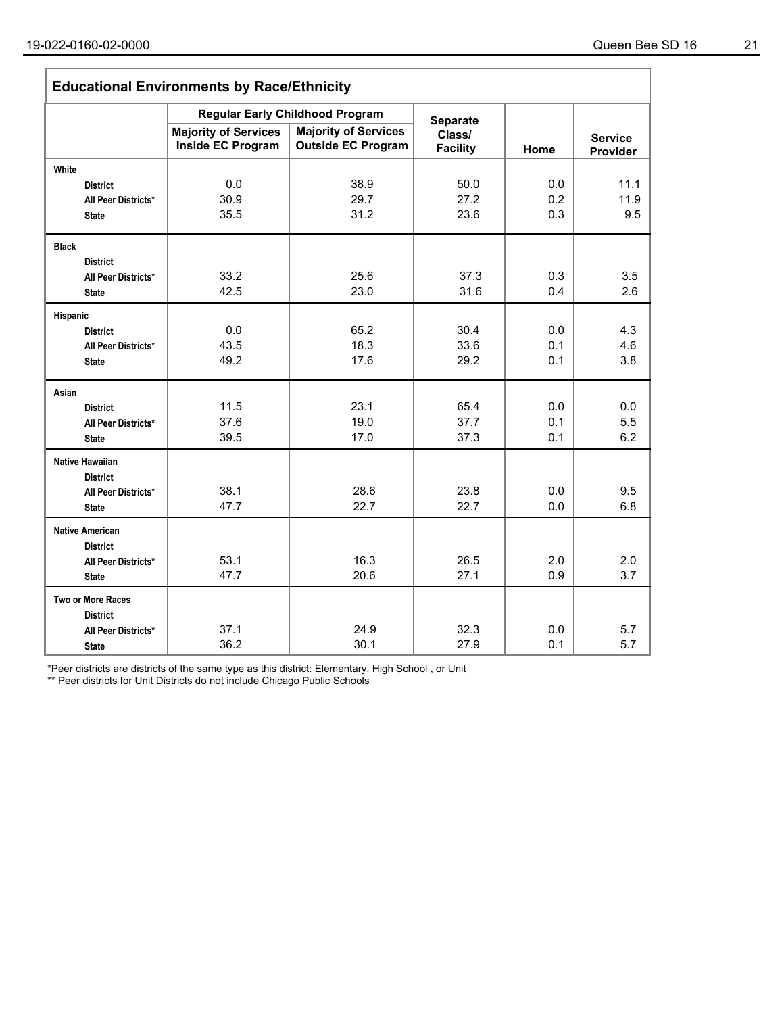| <b>Educational Environments by Race/Ethnicity</b> |                                                  |                                                          |                           |      |                            |  |  |  |
|---------------------------------------------------|--------------------------------------------------|----------------------------------------------------------|---------------------------|------|----------------------------|--|--|--|
|                                                   |                                                  | <b>Regular Early Childhood Program</b>                   | <b>Separate</b>           |      |                            |  |  |  |
|                                                   | <b>Majority of Services</b><br>Inside EC Program | <b>Majority of Services</b><br><b>Outside EC Program</b> | Class/<br><b>Facility</b> | Home | <b>Service</b><br>Provider |  |  |  |
| White                                             |                                                  |                                                          |                           |      |                            |  |  |  |
| <b>District</b>                                   | 0.0                                              | 38.9                                                     | 50.0                      | 0.0  | 11.1                       |  |  |  |
| All Peer Districts*                               | 30.9                                             | 29.7                                                     | 27.2                      | 0.2  | 11.9                       |  |  |  |
| <b>State</b>                                      | 35.5                                             | 31.2                                                     | 23.6                      | 0.3  | 9.5                        |  |  |  |
| <b>Black</b>                                      |                                                  |                                                          |                           |      |                            |  |  |  |
| <b>District</b>                                   |                                                  |                                                          |                           |      |                            |  |  |  |
| All Peer Districts*                               | 33.2                                             | 25.6                                                     | 37.3                      | 0.3  | 3.5                        |  |  |  |
| <b>State</b>                                      | 42.5                                             | 23.0                                                     | 31.6                      | 0.4  | 2.6                        |  |  |  |
| Hispanic                                          |                                                  |                                                          |                           |      |                            |  |  |  |
| <b>District</b>                                   | 0.0                                              | 65.2                                                     | 30.4                      | 0.0  | 4.3                        |  |  |  |
| All Peer Districts*                               | 43.5                                             | 18.3                                                     | 33.6                      | 0.1  | 4.6                        |  |  |  |
| <b>State</b>                                      | 49.2                                             | 17.6                                                     | 29.2                      | 0.1  | 3.8                        |  |  |  |
| Asian                                             |                                                  |                                                          |                           |      |                            |  |  |  |
| <b>District</b>                                   | 11.5                                             | 23.1                                                     | 65.4                      | 0.0  | 0.0                        |  |  |  |
| All Peer Districts*                               | 37.6                                             | 19.0                                                     | 37.7                      | 0.1  | 5.5                        |  |  |  |
| <b>State</b>                                      | 39.5                                             | 17.0                                                     | 37.3                      | 0.1  | 6.2                        |  |  |  |
| <b>Native Hawaiian</b>                            |                                                  |                                                          |                           |      |                            |  |  |  |
| <b>District</b>                                   | 38.1                                             | 28.6                                                     | 23.8                      | 0.0  | 9.5                        |  |  |  |
| All Peer Districts*<br><b>State</b>               | 47.7                                             | 22.7                                                     | 22.7                      | 0.0  | 6.8                        |  |  |  |
| <b>Native American</b>                            |                                                  |                                                          |                           |      |                            |  |  |  |
| <b>District</b>                                   |                                                  |                                                          |                           |      |                            |  |  |  |
| All Peer Districts*                               | 53.1                                             | 16.3                                                     | 26.5                      | 2.0  | 2.0                        |  |  |  |
| <b>State</b>                                      | 47.7                                             | 20.6                                                     | 27.1                      | 0.9  | 3.7                        |  |  |  |
| Two or More Races                                 |                                                  |                                                          |                           |      |                            |  |  |  |
| <b>District</b>                                   |                                                  |                                                          |                           |      |                            |  |  |  |
| All Peer Districts*                               | 37.1                                             | 24.9                                                     | 32.3                      | 0.0  | 5.7                        |  |  |  |
| <b>State</b>                                      | 36.2                                             | 30.1                                                     | 27.9                      | 0.1  | 5.7                        |  |  |  |

\*Peer districts are districts of the same type as this district: Elementary, High School , or Unit

\*\* Peer districts for Unit Districts do not include Chicago Public Schools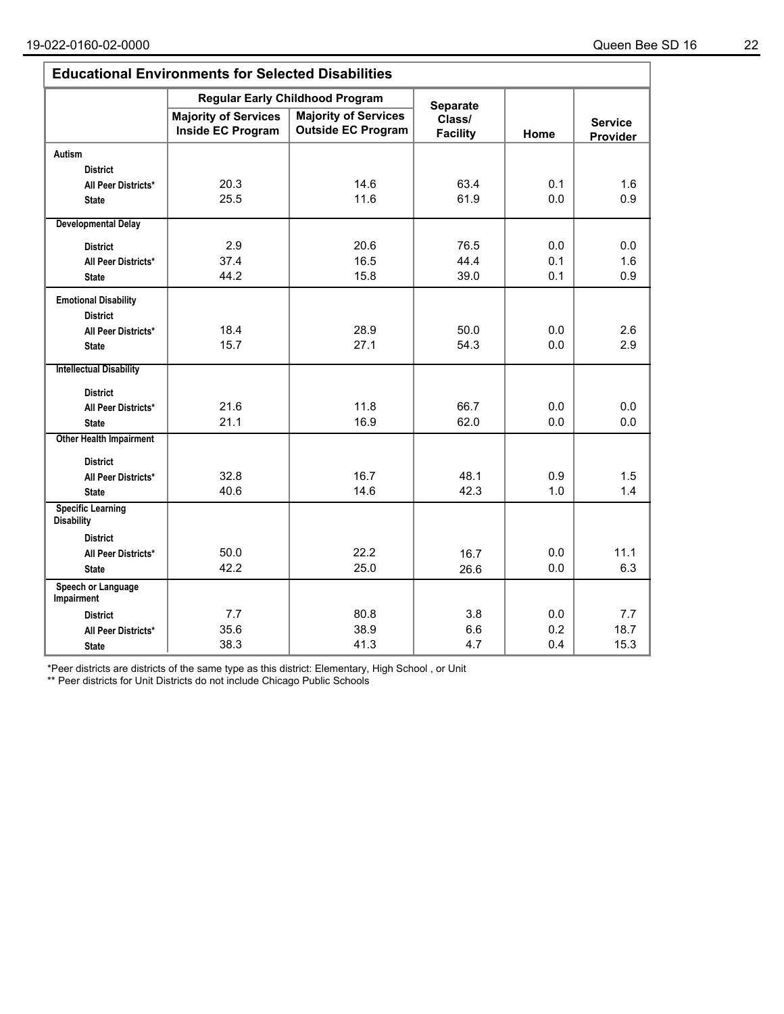| <b>Educational Environments for Selected Disabilities</b> |                                                         |                                                          |                           |      |                            |  |  |  |  |
|-----------------------------------------------------------|---------------------------------------------------------|----------------------------------------------------------|---------------------------|------|----------------------------|--|--|--|--|
|                                                           |                                                         | <b>Regular Early Childhood Program</b>                   | <b>Separate</b>           |      |                            |  |  |  |  |
|                                                           | <b>Majority of Services</b><br><b>Inside EC Program</b> | <b>Majority of Services</b><br><b>Outside EC Program</b> | Class/<br><b>Facility</b> | Home | <b>Service</b><br>Provider |  |  |  |  |
| Autism                                                    |                                                         |                                                          |                           |      |                            |  |  |  |  |
| <b>District</b>                                           |                                                         |                                                          |                           |      |                            |  |  |  |  |
| All Peer Districts*                                       | 20.3                                                    | 14.6                                                     | 63.4                      | 0.1  | 1.6                        |  |  |  |  |
| <b>State</b>                                              | 25.5                                                    | 11.6                                                     | 61.9                      | 0.0  | 0.9                        |  |  |  |  |
| <b>Developmental Delay</b>                                |                                                         |                                                          |                           |      |                            |  |  |  |  |
| <b>District</b>                                           | 2.9                                                     | 20.6                                                     | 76.5                      | 0.0  | 0.0                        |  |  |  |  |
| All Peer Districts*                                       | 37.4                                                    | 16.5                                                     | 44.4                      | 0.1  | 1.6                        |  |  |  |  |
| <b>State</b>                                              | 44.2                                                    | 15.8                                                     | 39.0                      | 0.1  | 0.9                        |  |  |  |  |
| <b>Emotional Disability</b>                               |                                                         |                                                          |                           |      |                            |  |  |  |  |
| <b>District</b>                                           |                                                         |                                                          |                           |      |                            |  |  |  |  |
| All Peer Districts*                                       | 18.4                                                    | 28.9                                                     | 50.0                      | 0.0  | 2.6                        |  |  |  |  |
| <b>State</b>                                              | 15.7                                                    | 27.1                                                     | 54.3                      | 0.0  | 2.9                        |  |  |  |  |
| <b>Intellectual Disability</b>                            |                                                         |                                                          |                           |      |                            |  |  |  |  |
| <b>District</b>                                           |                                                         |                                                          |                           |      |                            |  |  |  |  |
| All Peer Districts*                                       | 21.6                                                    | 11.8                                                     | 66.7                      | 0.0  | 0.0                        |  |  |  |  |
| <b>State</b>                                              | 21.1                                                    | 16.9                                                     | 62.0                      | 0.0  | 0.0                        |  |  |  |  |
| <b>Other Health Impairment</b>                            |                                                         |                                                          |                           |      |                            |  |  |  |  |
| <b>District</b>                                           |                                                         |                                                          |                           |      |                            |  |  |  |  |
| All Peer Districts*                                       | 32.8                                                    | 16.7                                                     | 48.1                      | 0.9  | 1.5                        |  |  |  |  |
| <b>State</b>                                              | 40.6                                                    | 14.6                                                     | 42.3                      | 1.0  | 1.4                        |  |  |  |  |
| <b>Specific Learning</b><br><b>Disability</b>             |                                                         |                                                          |                           |      |                            |  |  |  |  |
| <b>District</b>                                           |                                                         |                                                          |                           |      |                            |  |  |  |  |
| All Peer Districts*                                       | 50.0                                                    | 22.2                                                     | 16.7                      | 0.0  | 11.1                       |  |  |  |  |
| <b>State</b>                                              | 42.2                                                    | 25.0                                                     | 26.6                      | 0.0  | 6.3                        |  |  |  |  |
| Speech or Language<br>Impairment                          |                                                         |                                                          |                           |      |                            |  |  |  |  |
| <b>District</b>                                           | 7.7                                                     | 80.8                                                     | 3.8                       | 0.0  | 7.7                        |  |  |  |  |
| All Peer Districts*                                       | 35.6                                                    | 38.9                                                     | 6.6                       | 0.2  | 18.7                       |  |  |  |  |
| <b>State</b>                                              | 38.3                                                    | 41.3                                                     | 4.7                       | 0.4  | 15.3                       |  |  |  |  |

\*Peer districts are districts of the same type as this district: Elementary, High School , or Unit

\*\* Peer districts for Unit Districts do not include Chicago Public Schools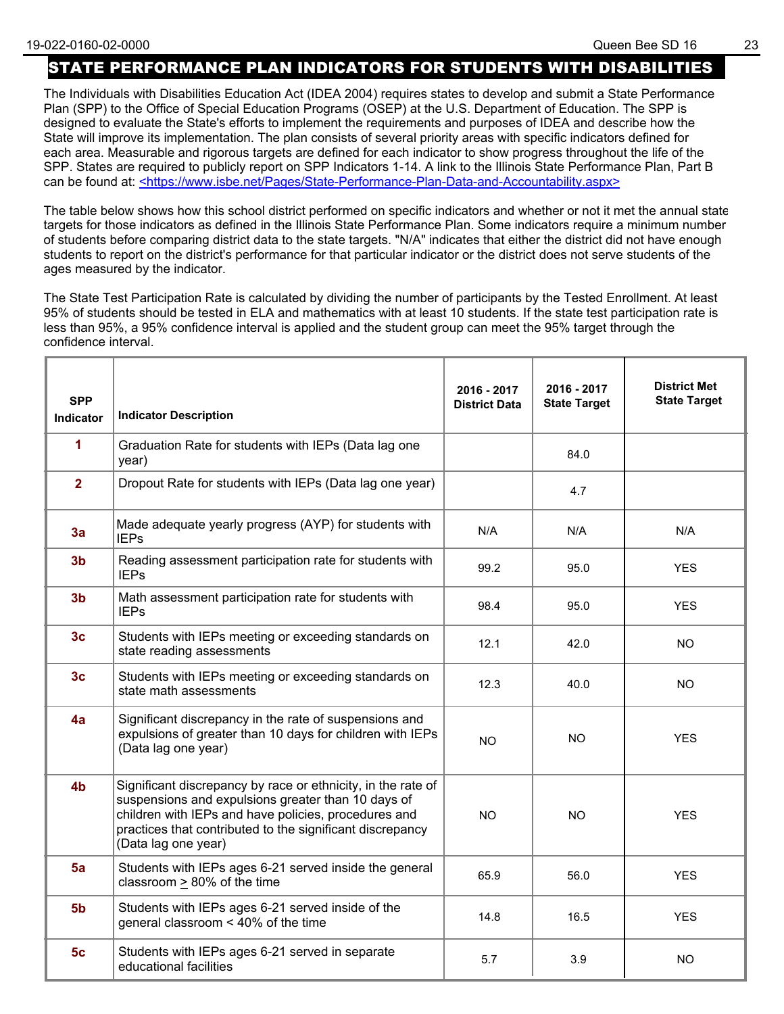## STATE PERFORMANCE PLAN INDICATORS FOR STUDENTS WITH DISABILITIES

The Individuals with Disabilities Education Act (IDEA 2004) requires states to develop and submit a State Performance Plan (SPP) to the Office of Special Education Programs (OSEP) at the U.S. Department of Education. The SPP is designed to evaluate the State's efforts to implement the requirements and purposes of IDEA and describe how the State will improve its implementation. The plan consists of several priority areas with specific indicators defined for each area. Measurable and rigorous targets are defined for each indicator to show progress throughout the life of the SPP. States are required to publicly report on SPP Indicators 1-14. A link to the Illinois State Performance Plan, Part B can be found at: <https://www.isbe.net/Pages/State-Performance-Plan-Data-and-Accountability.aspx>

The table below shows how this school district performed on specific indicators and whether or not it met the annual state targets for those indicators as defined in the Illinois State Performance Plan. Some indicators require a minimum number of students before comparing district data to the state targets. "N/A" indicates that either the district did not have enough students to report on the district's performance for that particular indicator or the district does not serve students of the ages measured by the indicator.

The State Test Participation Rate is calculated by dividing the number of participants by the Tested Enrollment. At least 95% of students should be tested in ELA and mathematics with at least 10 students. If the state test participation rate is less than 95%, a 95% confidence interval is applied and the student group can meet the 95% target through the confidence interval.

| <b>SPP</b><br>Indicator | <b>Indicator Description</b>                                                                                                                                                                                                                                   | 2016 - 2017<br><b>District Data</b> | 2016 - 2017<br><b>State Target</b> | <b>District Met</b><br><b>State Target</b> |
|-------------------------|----------------------------------------------------------------------------------------------------------------------------------------------------------------------------------------------------------------------------------------------------------------|-------------------------------------|------------------------------------|--------------------------------------------|
| 1                       | Graduation Rate for students with IEPs (Data lag one<br>year)                                                                                                                                                                                                  |                                     | 84.0                               |                                            |
| $\overline{2}$          | Dropout Rate for students with IEPs (Data lag one year)                                                                                                                                                                                                        |                                     | 4.7                                |                                            |
| 3a                      | Made adequate yearly progress (AYP) for students with<br><b>IEPs</b>                                                                                                                                                                                           | N/A                                 | N/A                                | N/A                                        |
| 3 <sub>b</sub>          | Reading assessment participation rate for students with<br><b>IEPs</b>                                                                                                                                                                                         | 99.2                                | 95.0                               | <b>YES</b>                                 |
| 3 <sub>b</sub>          | Math assessment participation rate for students with<br><b>IEPs</b>                                                                                                                                                                                            | 98.4                                | 95.0                               | <b>YES</b>                                 |
| 3 <sub>c</sub>          | Students with IEPs meeting or exceeding standards on<br>state reading assessments                                                                                                                                                                              | 12.1                                | 42.0                               | <b>NO</b>                                  |
| 3 <sub>c</sub>          | Students with IEPs meeting or exceeding standards on<br>state math assessments                                                                                                                                                                                 | 12.3                                | 40.0                               | NO.                                        |
| 4a                      | Significant discrepancy in the rate of suspensions and<br>expulsions of greater than 10 days for children with IEPs<br>(Data lag one year)                                                                                                                     | <b>NO</b>                           | NO.                                | <b>YES</b>                                 |
| 4 <sub>b</sub>          | Significant discrepancy by race or ethnicity, in the rate of<br>suspensions and expulsions greater than 10 days of<br>children with IEPs and have policies, procedures and<br>practices that contributed to the significant discrepancy<br>(Data lag one year) | <b>NO</b>                           | <b>NO</b>                          | <b>YES</b>                                 |
| 5a                      | Students with IEPs ages 6-21 served inside the general<br>classroom > 80% of the time                                                                                                                                                                          | 65.9                                | 56.0                               | <b>YES</b>                                 |
| 5 <sub>b</sub>          | Students with IEPs ages 6-21 served inside of the<br>general classroom < 40% of the time                                                                                                                                                                       | 14.8                                | 16.5                               | <b>YES</b>                                 |
| 5 <sub>c</sub>          | Students with IEPs ages 6-21 served in separate<br>educational facilities                                                                                                                                                                                      | 5.7                                 | 3.9                                | NO                                         |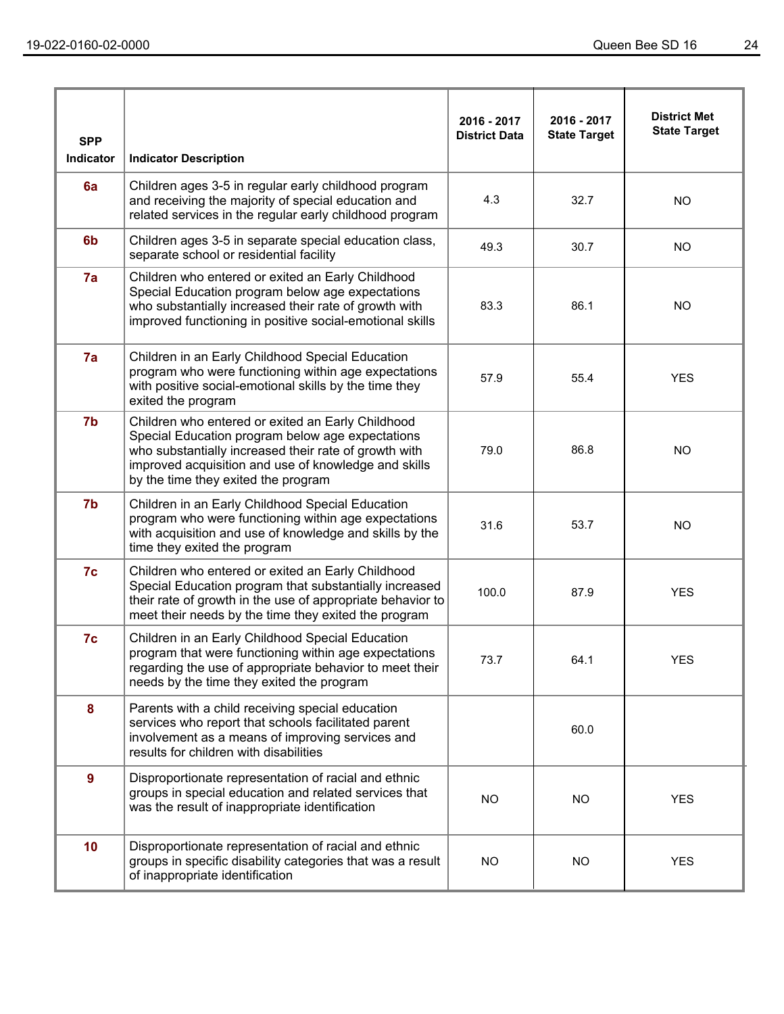| <b>SPP</b><br>Indicator | <b>Indicator Description</b>                                                                                                                                                                                                                                  | 2016 - 2017<br><b>District Data</b> | 2016 - 2017<br><b>State Target</b> | <b>District Met</b><br><b>State Target</b> |
|-------------------------|---------------------------------------------------------------------------------------------------------------------------------------------------------------------------------------------------------------------------------------------------------------|-------------------------------------|------------------------------------|--------------------------------------------|
| 6a                      | Children ages 3-5 in regular early childhood program<br>and receiving the majority of special education and<br>related services in the regular early childhood program                                                                                        | 4.3                                 | 32.7                               | <b>NO</b>                                  |
| 6 <sub>b</sub>          | Children ages 3-5 in separate special education class,<br>separate school or residential facility                                                                                                                                                             | 49.3                                | 30.7                               | <b>NO</b>                                  |
| 7a                      | Children who entered or exited an Early Childhood<br>Special Education program below age expectations<br>who substantially increased their rate of growth with<br>improved functioning in positive social-emotional skills                                    | 83.3                                | 86.1                               | <b>NO</b>                                  |
| 7a                      | Children in an Early Childhood Special Education<br>program who were functioning within age expectations<br>with positive social-emotional skills by the time they<br>exited the program                                                                      | 57.9                                | 55.4                               | <b>YES</b>                                 |
| 7b                      | Children who entered or exited an Early Childhood<br>Special Education program below age expectations<br>who substantially increased their rate of growth with<br>improved acquisition and use of knowledge and skills<br>by the time they exited the program | 79.0                                | 86.8                               | <b>NO</b>                                  |
| 7b                      | Children in an Early Childhood Special Education<br>program who were functioning within age expectations<br>with acquisition and use of knowledge and skills by the<br>time they exited the program                                                           | 31.6                                | 53.7                               | <b>NO</b>                                  |
| 7c                      | Children who entered or exited an Early Childhood<br>Special Education program that substantially increased<br>their rate of growth in the use of appropriate behavior to<br>meet their needs by the time they exited the program                             | 100.0                               | 87.9                               | <b>YES</b>                                 |
| 7c                      | Children in an Early Childhood Special Education<br>program that were functioning within age expectations<br>regarding the use of appropriate behavior to meet their<br>needs by the time they exited the program                                             | 73.7                                | 64.1                               | <b>YES</b>                                 |
| 8                       | Parents with a child receiving special education<br>services who report that schools facilitated parent<br>involvement as a means of improving services and<br>results for children with disabilities                                                         |                                     | 60.0                               |                                            |
| $\mathbf{9}$            | Disproportionate representation of racial and ethnic<br>groups in special education and related services that<br>was the result of inappropriate identification                                                                                               | NO.                                 | <b>NO</b>                          | <b>YES</b>                                 |
| 10                      | Disproportionate representation of racial and ethnic<br>groups in specific disability categories that was a result<br>of inappropriate identification                                                                                                         | <b>NO</b>                           | <b>NO</b>                          | <b>YES</b>                                 |